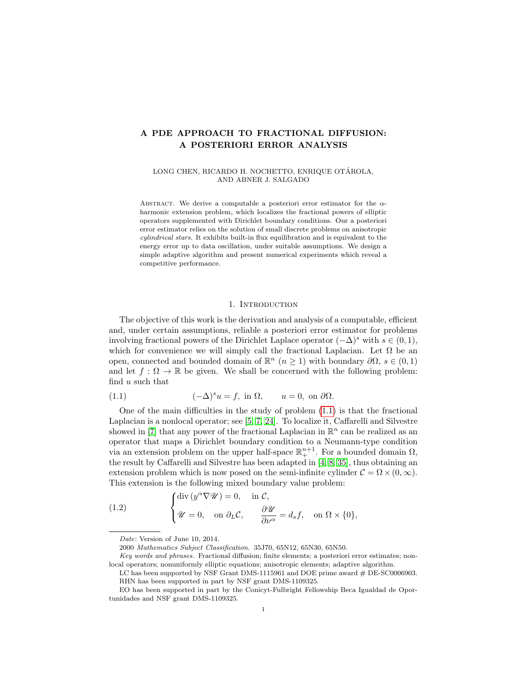# A PDE APPROACH TO FRACTIONAL DIFFUSION: A POSTERIORI ERROR ANALYSIS

LONG CHEN, RICARDO H. NOCHETTO, ENRIQUE OTÁROLA, AND ABNER J. SALGADO

ABSTRACT. We derive a computable a posteriori error estimator for the  $\alpha$ harmonic extension problem, which localizes the fractional powers of elliptic operators supplemented with Dirichlet boundary conditions. Our a posteriori error estimator relies on the solution of small discrete problems on anisotropic cylindrical stars. It exhibits built-in flux equilibration and is equivalent to the energy error up to data oscillation, under suitable assumptions. We design a simple adaptive algorithm and present numerical experiments which reveal a competitive performance.

# 1. INTRODUCTION

The objective of this work is the derivation and analysis of a computable, efficient and, under certain assumptions, reliable a posteriori error estimator for problems involving fractional powers of the Dirichlet Laplace operator  $(-\Delta)^s$  with  $s \in (0,1)$ , which for convenience we will simply call the fractional Laplacian. Let  $\Omega$  be an open, connected and bounded domain of  $\mathbb{R}^n$   $(n \geq 1)$  with boundary  $\partial\Omega$ ,  $s \in (0,1)$ and let  $f : \Omega \to \mathbb{R}$  be given. We shall be concerned with the following problem: find u such that

<span id="page-0-0"></span>(1.1) 
$$
(-\Delta)^s u = f, \text{ in } \Omega, \qquad u = 0, \text{ on } \partial\Omega.
$$

One of the main difficulties in the study of problem  $(1.1)$  is that the fractional Laplacian is a nonlocal operator; see [\[5,](#page-23-0) [7,](#page-23-1) [24\]](#page-24-0). To localize it, Caffarelli and Silvestre showed in [\[7\]](#page-23-1) that any power of the fractional Laplacian in  $\mathbb{R}^n$  can be realized as an operator that maps a Dirichlet boundary condition to a Neumann-type condition via an extension problem on the upper half-space  $\mathbb{R}^{n+1}_+$ . For a bounded domain  $\Omega$ , the result by Caffarelli and Silvestre has been adapted in [\[4,](#page-23-2) [8,](#page-23-3) [35\]](#page-24-1), thus obtaining an extension problem which is now posed on the semi-infinite cylinder  $\mathcal{C} = \Omega \times (0, \infty)$ . This extension is the following mixed boundary value problem:

<span id="page-0-1"></span>(1.2) 
$$
\begin{cases} \text{div} (y^{\alpha} \nabla \mathscr{U}) = 0, & \text{in } C, \\ \mathscr{U} = 0, & \text{on } \partial_L C, \qquad \frac{\partial \mathscr{U}}{\partial \nu^{\alpha}} = d_s f, & \text{on } \Omega \times \{0\}, \end{cases}
$$

Date: Version of June 10, 2014.

<sup>2000</sup> Mathematics Subject Classification. 35J70, 65N12, 65N30, 65N50.

Key words and phrases. Fractional diffusion; finite elements; a posteriori error estimates; nonlocal operators; nonuniformly elliptic equations; anisotropic elements; adaptive algorithm.

LC has been supported by NSF Grant DMS-1115961 and DOE prime award # DE-SC0006903. RHN has been supported in part by NSF grant DMS-1109325.

EO has been supported in part by the Conicyt-Fulbright Fellowship Beca Igualdad de Oportunidades and NSF grant DMS-1109325.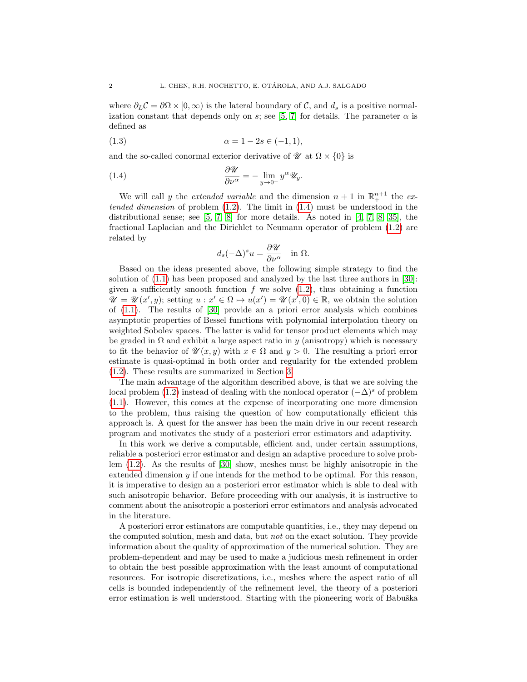where  $\partial_L C = \partial \Omega \times [0, \infty)$  is the lateral boundary of C, and  $d_s$  is a positive normal-ization constant that depends only on s; see [\[5,](#page-23-0) [7\]](#page-23-1) for details. The parameter  $\alpha$  is defined as

(1.3) 
$$
\alpha = 1 - 2s \in (-1, 1),
$$

and the so-called conormal exterior derivative of  $\mathcal{U}$  at  $\Omega \times \{0\}$  is

(1.4) 
$$
\frac{\partial \mathscr{U}}{\partial \nu^{\alpha}} = - \lim_{y \to 0^+} y^{\alpha} \mathscr{U}_y.
$$

We will call y the *extended variable* and the dimension  $n + 1$  in  $\mathbb{R}^{n+1}$  the *ex*tended dimension of problem  $(1.2)$ . The limit in  $(1.4)$  must be understood in the distributional sense; see [\[5,](#page-23-0) [7,](#page-23-1) [8\]](#page-23-3) for more details. As noted in [\[4,](#page-23-2) [7,](#page-23-1) [8,](#page-23-3) [35\]](#page-24-1), the fractional Laplacian and the Dirichlet to Neumann operator of problem [\(1.2\)](#page-0-1) are related by

<span id="page-1-0"></span>
$$
d_s(-\Delta)^s u = \frac{\partial \mathscr{U}}{\partial \nu^{\alpha}} \quad \text{in } \Omega.
$$

Based on the ideas presented above, the following simple strategy to find the solution of [\(1.1\)](#page-0-0) has been proposed and analyzed by the last three authors in [\[30\]](#page-24-2): given a sufficiently smooth function  $f$  we solve  $(1.2)$ , thus obtaining a function  $\mathscr{U} = \mathscr{U}(x', y);$  setting  $u : x' \in \Omega \mapsto u(x') = \mathscr{U}(x', 0) \in \mathbb{R}$ , we obtain the solution of [\(1.1\)](#page-0-0). The results of [\[30\]](#page-24-2) provide an a priori error analysis which combines asymptotic properties of Bessel functions with polynomial interpolation theory on weighted Sobolev spaces. The latter is valid for tensor product elements which may be graded in  $\Omega$  and exhibit a large aspect ratio in y (anisotropy) which is necessary to fit the behavior of  $\mathscr{U}(x, y)$  with  $x \in \Omega$  and  $y > 0$ . The resulting a priori error estimate is quasi-optimal in both order and regularity for the extended problem [\(1.2\)](#page-0-1). These results are summarized in Section [3.](#page-5-0)

The main advantage of the algorithm described above, is that we are solving the local problem [\(1.2\)](#page-0-1) instead of dealing with the nonlocal operator  $(-\Delta)^s$  of problem [\(1.1\)](#page-0-0). However, this comes at the expense of incorporating one more dimension to the problem, thus raising the question of how computationally efficient this approach is. A quest for the answer has been the main drive in our recent research program and motivates the study of a posteriori error estimators and adaptivity.

In this work we derive a computable, efficient and, under certain assumptions, reliable a posteriori error estimator and design an adaptive procedure to solve problem [\(1.2\)](#page-0-1). As the results of [\[30\]](#page-24-2) show, meshes must be highly anisotropic in the extended dimension  $y$  if one intends for the method to be optimal. For this reason, it is imperative to design an a posteriori error estimator which is able to deal with such anisotropic behavior. Before proceeding with our analysis, it is instructive to comment about the anisotropic a posteriori error estimators and analysis advocated in the literature.

A posteriori error estimators are computable quantities, i.e., they may depend on the computed solution, mesh and data, but not on the exact solution. They provide information about the quality of approximation of the numerical solution. They are problem-dependent and may be used to make a judicious mesh refinement in order to obtain the best possible approximation with the least amount of computational resources. For isotropic discretizations, i.e., meshes where the aspect ratio of all cells is bounded independently of the refinement level, the theory of a posteriori error estimation is well understood. Starting with the pioneering work of Babuška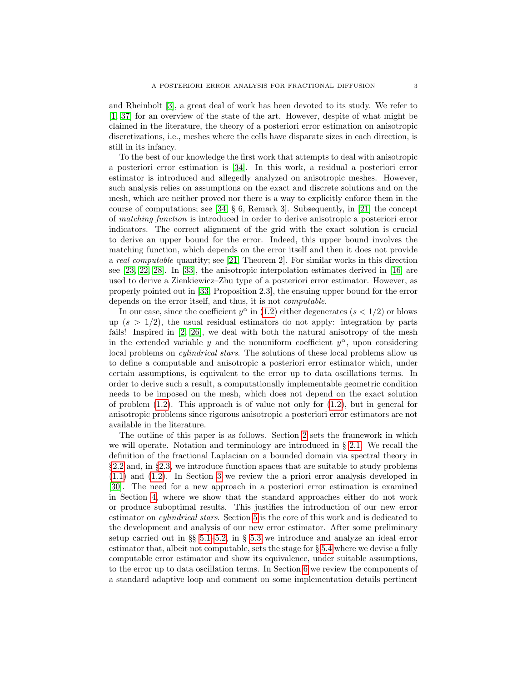and Rheinbolt [\[3\]](#page-23-4), a great deal of work has been devoted to its study. We refer to [\[1,](#page-23-5) [37\]](#page-24-3) for an overview of the state of the art. However, despite of what might be claimed in the literature, the theory of a posteriori error estimation on anisotropic discretizations, i.e., meshes where the cells have disparate sizes in each direction, is still in its infancy.

To the best of our knowledge the first work that attempts to deal with anisotropic a posteriori error estimation is [\[34\]](#page-24-4). In this work, a residual a posteriori error estimator is introduced and allegedly analyzed on anisotropic meshes. However, such analysis relies on assumptions on the exact and discrete solutions and on the mesh, which are neither proved nor there is a way to explicitly enforce them in the course of computations; see [\[34,](#page-24-4) § 6, Remark 3]. Subsequently, in [\[21\]](#page-24-5) the concept of matching function is introduced in order to derive anisotropic a posteriori error indicators. The correct alignment of the grid with the exact solution is crucial to derive an upper bound for the error. Indeed, this upper bound involves the matching function, which depends on the error itself and then it does not provide a real computable quantity; see [\[21,](#page-24-5) Theorem 2]. For similar works in this direction see [\[23,](#page-24-6) [22,](#page-24-7) [28\]](#page-24-8). In [\[33\]](#page-24-9), the anisotropic interpolation estimates derived in [\[16\]](#page-24-10) are used to derive a Zienkiewicz–Zhu type of a posteriori error estimator. However, as properly pointed out in [\[33,](#page-24-9) Proposition 2.3], the ensuing upper bound for the error depends on the error itself, and thus, it is not computable.

In our case, since the coefficient  $y^{\alpha}$  in [\(1.2\)](#page-0-1) either degenerates  $(s < 1/2)$  or blows up  $(s > 1/2)$ , the usual residual estimators do not apply: integration by parts fails! Inspired in [\[2,](#page-23-6) [26\]](#page-24-11), we deal with both the natural anisotropy of the mesh in the extended variable y and the nonuniform coefficient  $y^{\alpha}$ , upon considering local problems on *cylindrical stars*. The solutions of these local problems allow us to define a computable and anisotropic a posteriori error estimator which, under certain assumptions, is equivalent to the error up to data oscillations terms. In order to derive such a result, a computationally implementable geometric condition needs to be imposed on the mesh, which does not depend on the exact solution of problem  $(1.2)$ . This approach is of value not only for  $(1.2)$ , but in general for anisotropic problems since rigorous anisotropic a posteriori error estimators are not available in the literature.

The outline of this paper is as follows. Section [2](#page-3-0) sets the framework in which we will operate. Notation and terminology are introduced in § [2.1.](#page-3-1) We recall the definition of the fractional Laplacian on a bounded domain via spectral theory in §[2.2](#page-3-2) and, in §[2.3,](#page-4-0) we introduce function spaces that are suitable to study problems [\(1.1\)](#page-0-0) and [\(1.2\)](#page-0-1). In Section [3](#page-5-0) we review the a priori error analysis developed in [\[30\]](#page-24-2). The need for a new approach in a posteriori error estimation is examined in Section [4,](#page-7-0) where we show that the standard approaches either do not work or produce suboptimal results. This justifies the introduction of our new error estimator on *cylindrical stars*. Section [5](#page-8-0) is the core of this work and is dedicated to the development and analysis of our new error estimator. After some preliminary setup carried out in §§ [5.1–](#page-9-0)[5.2,](#page-10-0) in § [5.3](#page-11-0) we introduce and analyze an ideal error estimator that, albeit not computable, sets the stage for § [5.4](#page-13-0) where we devise a fully computable error estimator and show its equivalence, under suitable assumptions, to the error up to data oscillation terms. In Section [6](#page-16-0) we review the components of a standard adaptive loop and comment on some implementation details pertinent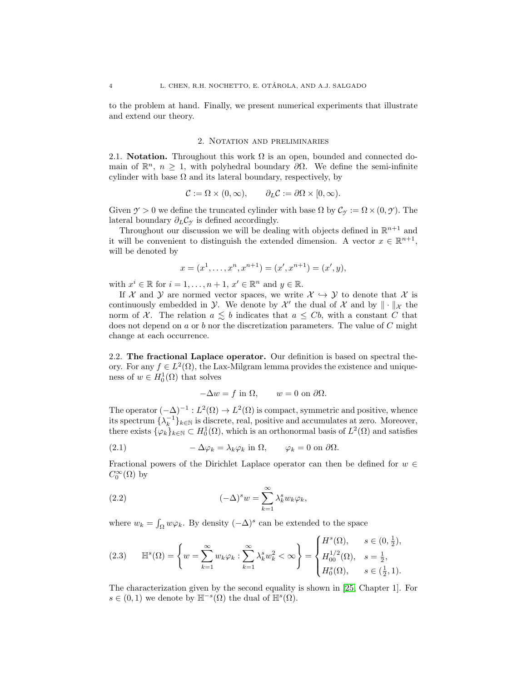to the problem at hand. Finally, we present numerical experiments that illustrate and extend our theory.

# 2. Notation and preliminaries

<span id="page-3-1"></span><span id="page-3-0"></span>2.1. Notation. Throughout this work  $\Omega$  is an open, bounded and connected domain of  $\mathbb{R}^n$ ,  $n \geq 1$ , with polyhedral boundary  $\partial \Omega$ . We define the semi-infinite cylinder with base  $\Omega$  and its lateral boundary, respectively, by

$$
\mathcal{C} := \Omega \times (0, \infty), \qquad \partial_L \mathcal{C} := \partial \Omega \times [0, \infty).
$$

Given  $\mathcal{Y} > 0$  we define the truncated cylinder with base  $\Omega$  by  $\mathcal{C}_{\mathcal{Y}} := \Omega \times (0, \mathcal{Y})$ . The lateral boundary  $\partial_L C_\gamma$  is defined accordingly.

Throughout our discussion we will be dealing with objects defined in  $\mathbb{R}^{n+1}$  and it will be convenient to distinguish the extended dimension. A vector  $x \in \mathbb{R}^{n+1}$ , will be denoted by

$$
x = (x1,..., xn, xn+1) = (x', xn+1) = (x', y),
$$

with  $x^i \in \mathbb{R}$  for  $i = 1, ..., n + 1, x' \in \mathbb{R}^n$  and  $y \in \mathbb{R}$ .

If X and Y are normed vector spaces, we write  $\mathcal{X} \hookrightarrow \mathcal{Y}$  to denote that X is continuously embedded in  $\mathcal{Y}$ . We denote by  $\mathcal{X}'$  the dual of  $\mathcal{X}$  and by  $\|\cdot\|_{\mathcal{X}}$  the norm of X. The relation  $a \leq b$  indicates that  $a \leq Cb$ , with a constant C that does not depend on  $a$  or  $b$  nor the discretization parameters. The value of  $C$  might change at each occurrence.

<span id="page-3-2"></span>2.2. The fractional Laplace operator. Our definition is based on spectral theory. For any  $f \in L^2(\Omega)$ , the Lax-Milgram lemma provides the existence and uniqueness of  $w \in H_0^1(\Omega)$  that solves

$$
-\Delta w = f \text{ in } \Omega, \qquad w = 0 \text{ on } \partial \Omega.
$$

The operator  $(-\Delta)^{-1}: L^2(\Omega) \to L^2(\Omega)$  is compact, symmetric and positive, whence its spectrum  $\{\lambda_k^{-1}\}_{k\in\mathbb{N}}$  is discrete, real, positive and accumulates at zero. Moreover, there exists  $\{\varphi_k\}_{k\in\mathbb{N}} \subset H_0^1(\Omega)$ , which is an orthonormal basis of  $L^2(\Omega)$  and satisfies

(2.1) 
$$
-\Delta \varphi_k = \lambda_k \varphi_k \text{ in } \Omega, \qquad \varphi_k = 0 \text{ on } \partial \Omega.
$$

Fractional powers of the Dirichlet Laplace operator can then be defined for  $w \in$  $C_0^{\infty}(\Omega)$  by

(2.2) 
$$
(-\Delta)^s w = \sum_{k=1}^{\infty} \lambda_k^s w_k \varphi_k,
$$

where  $w_k = \int_{\Omega} w \varphi_k$ . By density  $(-\Delta)^s$  can be extended to the space

$$
(2.3) \quad \mathbb{H}^{s}(\Omega) = \left\{ w = \sum_{k=1}^{\infty} w_k \varphi_k : \sum_{k=1}^{\infty} \lambda_k^s w_k^2 < \infty \right\} = \begin{cases} H^s(\Omega), & s \in (0, \frac{1}{2}), \\ H_{00}^{1/2}(\Omega), & s = \frac{1}{2}, \\ H_0^s(\Omega), & s \in (\frac{1}{2}, 1). \end{cases}
$$

The characterization given by the second equality is shown in [\[25,](#page-24-12) Chapter 1]. For  $s \in (0, 1)$  we denote by  $\mathbb{H}^{-s}(\Omega)$  the dual of  $\mathbb{H}^{s}(\Omega)$ .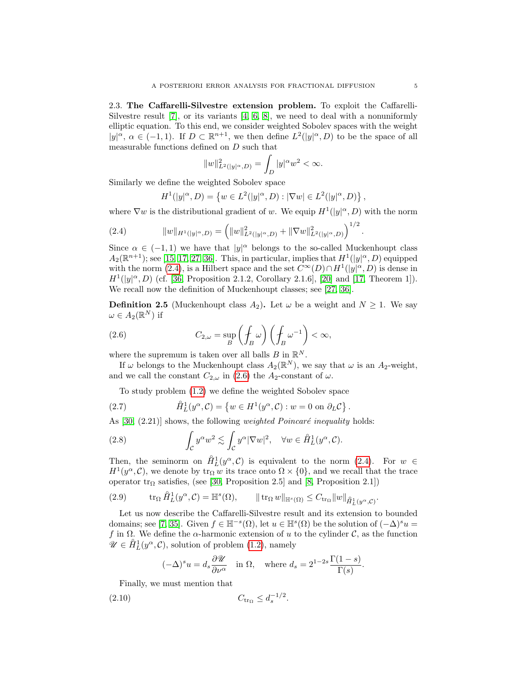<span id="page-4-0"></span>2.3. The Caffarelli-Silvestre extension problem. To exploit the Caffarelli-Silvestre result  $[7]$ , or its variants  $[4, 6, 8]$  $[4, 6, 8]$  $[4, 6, 8]$ , we need to deal with a nonuniformly elliptic equation. To this end, we consider weighted Sobolev spaces with the weight  $|y|^{\alpha}$ ,  $\alpha \in (-1,1)$ . If  $D \subset \mathbb{R}^{n+1}$ , we then define  $L^2(|y|^{\alpha}, D)$  to be the space of all measurable functions defined on  $D$  such that

$$
||w||_{L^{2}(|y|^{\alpha},D)}^{2} = \int_{D} |y|^{\alpha} w^{2} < \infty.
$$

Similarly we define the weighted Sobolev space

<span id="page-4-1"></span>
$$
H^{1}(|y|^{\alpha}, D) = \{ w \in L^{2}(|y|^{\alpha}, D) : |\nabla w| \in L^{2}(|y|^{\alpha}, D) \},\
$$

where  $\nabla w$  is the distributional gradient of w. We equip  $H^1(|y|^\alpha, D)$  with the norm

(2.4) 
$$
||w||_{H^1(|y|^\alpha,D)} = (||w||^2_{L^2(|y|^\alpha,D)} + ||\nabla w||^2_{L^2(|y|^\alpha,D)})^{1/2}
$$

Since  $\alpha \in (-1,1)$  we have that  $|y|^{\alpha}$  belongs to the so-called Muckenhoupt class  $A_2(\mathbb{R}^{n+1})$ ; see [\[15,](#page-24-13) [17,](#page-24-14) [27,](#page-24-15) [36\]](#page-24-16). This, in particular, implies that  $H^1(|y|^\alpha, D)$  equipped with the norm [\(2.4\)](#page-4-1), is a Hilbert space and the set  $C^{\infty}(D) \cap H^1(|y|^{\alpha}, D)$  is dense in  $H^1(|y|^\alpha, D)$  (cf. [\[36,](#page-24-16) Proposition 2.1.2, Corollary 2.1.6], [\[20\]](#page-24-17) and [\[17,](#page-24-14) Theorem 1]). We recall now the definition of Muckenhoupt classes; see [\[27,](#page-24-15) [36\]](#page-24-16).

<span id="page-4-5"></span>**Definition 2.5** (Muckenhoupt class  $A_2$ ). Let  $\omega$  be a weight and  $N \geq 1$ . We say  $\omega \in A_2(\mathbb{R}^N)$  if

<span id="page-4-2"></span>(2.6) 
$$
C_{2,\omega} = \sup_{B} \left( \oint_{B} \omega \right) \left( \oint_{B} \omega^{-1} \right) < \infty,
$$

where the supremum is taken over all balls  $B$  in  $\mathbb{R}^N$ .

If  $\omega$  belongs to the Muckenhoupt class  $A_2(\mathbb{R}^N)$ , we say that  $\omega$  is an  $A_2$ -weight, and we call the constant  $C_{2,\omega}$  in [\(2.6\)](#page-4-2) the  $A_2$ -constant of  $\omega$ .

To study problem [\(1.2\)](#page-0-1) we define the weighted Sobolev space

(2.7) 
$$
\hat{H}_L^1(y^\alpha, \mathcal{C}) = \{ w \in H^1(y^\alpha, \mathcal{C}) : w = 0 \text{ on } \partial_L \mathcal{C} \}
$$

As  $[30, (2.21)]$  shows, the following *weighted Poincaré inequality* holds:

(2.8) 
$$
\int_{\mathcal{C}} y^{\alpha} w^2 \lesssim \int_{\mathcal{C}} y^{\alpha} |\nabla w|^2, \quad \forall w \in \hat{H}_L^1(y^{\alpha}, \mathcal{C}).
$$

Then, the seminorm on  $\mathring{H}_L^1(y^\alpha, \mathcal{C})$  is equivalent to the norm [\(2.4\)](#page-4-1). For  $w \in$  $H^1(y^\alpha, \mathcal{C})$ , we denote by  $\text{tr}_\Omega w$  its trace onto  $\Omega \times \{0\}$ , and we recall that the trace operator  $\text{tr}_{\Omega}$  satisfies, (see [\[30,](#page-24-2) Proposition 2.5] and [\[8,](#page-23-3) Proposition 2.1])

<span id="page-4-4"></span>(2.9) 
$$
\operatorname{tr}_{\Omega} \hat{H}_L^1(y^{\alpha}, \mathcal{C}) = \mathbb{H}^s(\Omega), \qquad \|\operatorname{tr}_{\Omega} w\|_{\mathbb{H}^s(\Omega)} \leq C_{\operatorname{tr}_{\Omega}} \|w\|_{\hat{H}_L^1(y^{\alpha}, \mathcal{C})}.
$$

Let us now describe the Caffarelli-Silvestre result and its extension to bounded domains; see [\[7,](#page-23-1) [35\]](#page-24-1). Given  $f \in \mathbb{H}^{-s}(\Omega)$ , let  $u \in \mathbb{H}^{s}(\Omega)$  be the solution of  $(-\Delta)^{s}u =$ f in  $\Omega$ . We define the  $\alpha$ -harmonic extension of u to the cylinder C, as the function  $\mathscr{U} \in \hat{H}^1_L(y^\alpha, \mathcal{C})$ , solution of problem [\(1.2\)](#page-0-1), namely

<span id="page-4-3"></span>
$$
(-\Delta)^s u = d_s \frac{\partial \mathcal{U}}{\partial \nu^{\alpha}}
$$
 in  $\Omega$ , where  $d_s = 2^{1-2s} \frac{\Gamma(1-s)}{\Gamma(s)}$ .

Finally, we must mention that

(2.10) 
$$
C_{\text{tr}_{\Omega}} \le d_s^{-1/2}
$$
.

.

.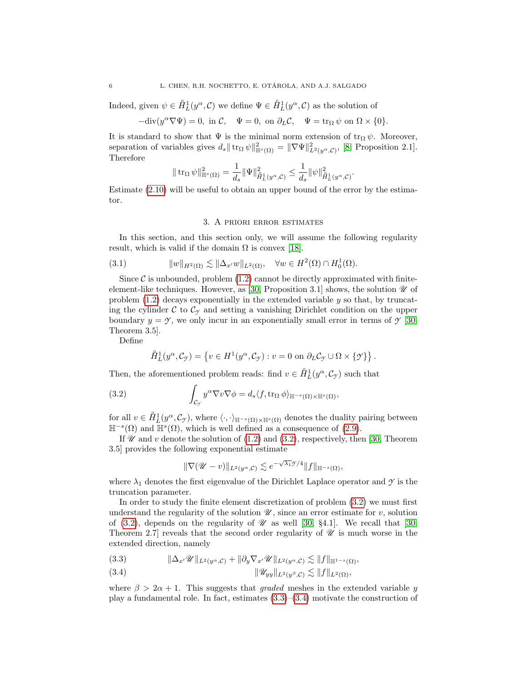Indeed, given  $\psi \in \hat{H}_L^1(y^\alpha, \mathcal{C})$  we define  $\Psi \in \hat{H}_L^1(y^\alpha, \mathcal{C})$  as the solution of

 $-\text{div}(y^{\alpha}\nabla\Psi) = 0$ , in  $\mathcal{C}$ ,  $\Psi = 0$ , on  $\partial_L\mathcal{C}$ ,  $\Psi = \text{tr}_{\Omega}\psi$  on  $\Omega \times \{0\}$ .

It is standard to show that  $\Psi$  is the minimal norm extension of  $\operatorname{tr}_{\Omega} \psi$ . Moreover, separation of variables gives  $d_s \|\operatorname{tr}_{\Omega} \psi\|_{\mathbb{H}^s(\Omega)}^2 = \|\nabla \Psi\|_{L^2(y^{\alpha}, \mathcal{C})}^2$ , [\[8,](#page-23-3) Proposition 2.1]. Therefore

$$
\|\operatorname{tr}_\Omega \psi\|^2_{{\mathbb H}^s(\Omega)} = \frac{1}{d_s} \|\Psi\|^2_{\hat H^1_L(y^\alpha, {\mathcal C})} \leq \frac{1}{d_s} \|\psi\|^2_{\hat H^1_L(y^\alpha, {\mathcal C})}.
$$

Estimate [\(2.10\)](#page-4-3) will be useful to obtain an upper bound of the error by the estimator.

# <span id="page-5-4"></span>3. A priori error estimates

<span id="page-5-0"></span>In this section, and this section only, we will assume the following regularity result, which is valid if the domain  $\Omega$  is convex [\[18\]](#page-24-18).

(3.1) 
$$
||w||_{H^2(\Omega)} \lesssim ||\Delta_{x'}w||_{L^2(\Omega)}, \quad \forall w \in H^2(\Omega) \cap H_0^1(\Omega).
$$

Since  $\mathcal C$  is unbounded, problem [\(1.2\)](#page-0-1) cannot be directly approximated with finite-element-like techniques. However, as [\[30,](#page-24-2) Proposition 3.1] shows, the solution  $\mathcal U$  of problem  $(1.2)$  decays exponentially in the extended variable y so that, by truncating the cylinder  $\mathcal C$  to  $\mathcal C_{\gamma}$  and setting a vanishing Dirichlet condition on the upper boundary  $y = \mathcal{Y}$ , we only incur in an exponentially small error in terms of  $\mathcal{Y}$  [\[30,](#page-24-2) Theorem 3.5].

Define

<span id="page-5-1"></span>
$$
\hat{H}_L^1(y^\alpha, \mathcal{C}_{\mathcal{I}}) = \left\{ v \in H^1(y^\alpha, \mathcal{C}_{\mathcal{I}}) : v = 0 \text{ on } \partial_L \mathcal{C}_{\mathcal{I}} \cup \Omega \times \{ \mathcal{I} \} \right\}.
$$

Then, the aforementioned problem reads: find  $v \in \mathring{H}_L^1(y^\alpha, \mathcal{C}_{\gamma})$  such that

(3.2) 
$$
\int_{\mathcal{C}_{\mathcal{Y}}} y^{\alpha} \nabla v \nabla \phi = d_s \langle f, \text{tr}_{\Omega} \phi \rangle_{\mathbb{H}^{-s}(\Omega) \times \mathbb{H}^{s}(\Omega)},
$$

for all  $v \in \hat{H}_L^1(y^\alpha, \mathcal{C}_{\mathcal{I}})$ , where  $\langle \cdot, \cdot \rangle_{\mathbb{H}^{-s}(\Omega) \times \mathbb{H}^s(\Omega)}$  denotes the duality pairing between  $\mathbb{H}^{-s}(\Omega)$  and  $\mathbb{H}^{s}(\Omega)$ , which is well defined as a consequence of [\(2.9\)](#page-4-4).

If  $\mathscr U$  and  $v$  denote the solution of [\(1.2\)](#page-0-1) and [\(3.2\)](#page-5-1), respectively, then [\[30,](#page-24-2) Theorem 3.5] provides the following exponential estimate

$$
\|\nabla (\mathscr{U}-v)\|_{L^2(y^\alpha,\mathcal{C})}\lesssim e^{-\sqrt{\lambda_1}\mathscr{Y}/4}\|f\|_{\mathbb{H}^{-s}(\Omega)},
$$

where  $\lambda_1$  denotes the first eigenvalue of the Dirichlet Laplace operator and  $\gamma$  is the truncation parameter.

In order to study the finite element discretization of problem [\(3.2\)](#page-5-1) we must first understand the regularity of the solution  $\mathscr{U}$ , since an error estimate for v, solution of [\(3.2\)](#page-5-1), depends on the regularity of  $\mathcal U$  as well [\[30,](#page-24-2) §4.1]. We recall that [30, Theorem 2.7] reveals that the second order regularity of  $\mathscr U$  is much worse in the extended direction, namely

<span id="page-5-2"></span>(3.3) 
$$
\|\Delta_{x'}\mathscr{U}\|_{L^2(y^{\alpha},\mathcal{C})}+\|\partial_y\nabla_{x'}\mathscr{U}\|_{L^2(y^{\alpha},\mathcal{C})}\lesssim\|f\|_{\mathbb{H}^{1-s}(\Omega)},
$$

<span id="page-5-3"></span>
$$
(3.4) \t\t\t\t\t\|\mathscr{U}_{yy}\|_{L^2(y^\beta,\mathcal{C})}\lesssim \|f\|_{L^2(\Omega)},
$$

where  $\beta > 2\alpha + 1$ . This suggests that *graded* meshes in the extended variable y play a fundamental role. In fact, estimates [\(3.3\)](#page-5-2)–[\(3.4\)](#page-5-3) motivate the construction of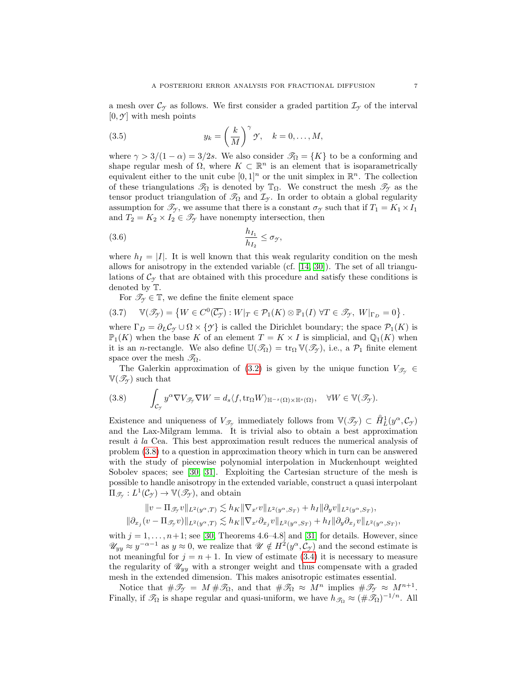a mesh over  $\mathcal{C}_{\gamma}$  as follows. We first consider a graded partition  $\mathcal{I}_{\gamma}$  of the interval  $[0, \mathcal{Y}]$  with mesh points

<span id="page-6-1"></span>(3.5) 
$$
y_k = \left(\frac{k}{M}\right)^{\gamma} \mathcal{Y}, \quad k = 0, \dots, M,
$$

where  $\gamma > 3/(1 - \alpha) = 3/2s$ . We also consider  $\mathcal{T}_{\Omega} = \{K\}$  to be a conforming and shape regular mesh of  $\Omega$ , where  $K \subset \mathbb{R}^n$  is an element that is isoparametrically equivalent either to the unit cube  $[0,1]^n$  or the unit simplex in  $\mathbb{R}^n$ . The collection of these triangulations  $\mathcal{T}_{\Omega}$  is denoted by  $\mathbb{T}_{\Omega}$ . We construct the mesh  $\mathcal{T}_{\gamma}$  as the tensor product triangulation of  $\mathcal{T}_{\Omega}$  and  $\mathcal{I}_{\gamma}$ . In order to obtain a global regularity assumption for  $\mathcal{T}_{\gamma}$ , we assume that there is a constant  $\sigma_{\gamma}$  such that if  $T_1 = K_1 \times I_1$ and  $T_2 = K_2 \times I_2 \in \mathcal{T}_{\gamma}$  have nonempty intersection, then

$$
\frac{h_{I_1}}{h_{I_2}} \le \sigma_{\mathcal{Y}},
$$

where  $h_I = |I|$ . It is well known that this weak regularity condition on the mesh allows for anisotropy in the extended variable (cf. [\[14,](#page-23-8) [30\]](#page-24-2)). The set of all triangulations of  $\mathcal{C}_{\gamma}$  that are obtained with this procedure and satisfy these conditions is denoted by T.

<span id="page-6-2"></span>For  $\mathscr{T}_{\gamma} \in \mathbb{T}$ , we define the finite element space

$$
(3.7) \quad \mathbb{V}(\mathcal{I}_{\mathcal{I}}) = \left\{ W \in C^{0}(\overline{\mathcal{C}_{\mathcal{I}}}) : W|_{T} \in \mathcal{P}_{1}(K) \otimes \mathbb{P}_{1}(I) \; \forall T \in \mathcal{I}_{\mathcal{I}}, \; W|_{\Gamma_{D}} = 0 \right\}.
$$

where  $\Gamma_D = \partial_L C_\gamma \cup \Omega \times \{\gamma\}$  is called the Dirichlet boundary; the space  $\mathcal{P}_1(K)$  is  $\mathbb{P}_1(K)$  when the base K of an element  $T = K \times I$  is simplicial, and  $\mathbb{Q}_1(K)$  when it is an *n*-rectangle. We also define  $\mathbb{U}(\mathscr{T}_{\Omega}) = \text{tr}_{\Omega} \mathbb{V}(\mathscr{T}_{\gamma})$ , i.e., a  $\mathcal{P}_1$  finite element space over the mesh  $\mathscr{T}_{\Omega}$ .

The Galerkin approximation of [\(3.2\)](#page-5-1) is given by the unique function  $V_{\mathscr{T}_{\gamma}} \in$  $V(\mathcal{T}_{\gamma})$  such that

<span id="page-6-0"></span>(3.8) 
$$
\int_{\mathcal{C}_{\mathcal{Y}}} y^{\alpha} \nabla V_{\mathcal{F}_{\mathcal{Y}}} \nabla W = d_s \langle f, \text{tr}_{\Omega} W \rangle_{\mathbb{H}^{-s}(\Omega) \times \mathbb{H}^s(\Omega)}, \quad \forall W \in \mathbb{V}(\mathcal{F}_{\mathcal{Y}}).
$$

Existence and uniqueness of  $V_{\mathscr{T}_{\mathscr{T}}}$  immediately follows from  $\mathbb{V}(\mathscr{T}_{\mathscr{T}}) \subset \mathring{H}_L^1(y^\alpha, \mathcal{C}_{\mathscr{T}})$ and the Lax-Milgram lemma. It is trivial also to obtain a best approximation result  $\dot{a}$  la Cea. This best approximation result reduces the numerical analysis of problem [\(3.8\)](#page-6-0) to a question in approximation theory which in turn can be answered with the study of piecewise polynomial interpolation in Muckenhoupt weighted Sobolev spaces; see [\[30,](#page-24-2) [31\]](#page-24-19). Exploiting the Cartesian structure of the mesh is possible to handle anisotropy in the extended variable, construct a quasi interpolant  $\Pi_{\mathscr{T}_{\mathscr{T}}}: L^1(\mathcal{C}_{\mathscr{T}}) \to \mathbb{V}(\mathscr{T}_{\mathscr{T}})$ , and obtain

$$
\begin{aligned} \|v-\Pi_{\mathscr{T}_{\mathscr{T}}}v\|_{L^2(y^\alpha,T)}\lesssim h_K\|\nabla_{x'}v\|_{L^2(y^\alpha,S_T)}+h_I\|\partial_yv\|_{L^2(y^\alpha,S_T)},\\ \|\partial_{x_j}(v-\Pi_{\mathscr{T}_{\mathscr{T}}}v)\|_{L^2(y^\alpha,T)}\lesssim h_K\|\nabla_{x'}\partial_{x_j}v\|_{L^2(y^\alpha,S_T)}+h_I\|\partial_y\partial_{x_j}v\|_{L^2(y^\alpha,S_T)}, \end{aligned}
$$

with  $j = 1, \ldots, n+1$ ; see [\[30,](#page-24-2) Theorems 4.6–4.8] and [\[31\]](#page-24-19) for details. However, since  $\mathscr{U}_{yy} \approx y^{-\alpha-1}$  as  $y \approx 0$ , we realize that  $\mathscr{U} \notin H^2(y^{\alpha}, \mathcal{C}_{\mathcal{I}})$  and the second estimate is not meaningful for  $j = n + 1$ . In view of estimate [\(3.4\)](#page-5-3) it is necessary to measure the regularity of  $\mathcal{U}_{yy}$  with a stronger weight and thus compensate with a graded mesh in the extended dimension. This makes anisotropic estimates essential.

Notice that  $\#\mathscr{T}_{\gamma} = M \#\mathscr{T}_{\Omega}$ , and that  $\#\mathscr{T}_{\Omega} \approx M^n$  implies  $\#\mathscr{T}_{\gamma} \approx M^{n+1}$ . Finally, if  $\mathcal{T}_{\Omega}$  is shape regular and quasi-uniform, we have  $h_{\mathcal{T}_{\Omega}} \approx (\#\mathcal{T}_{\Omega})^{-1/n}$ . All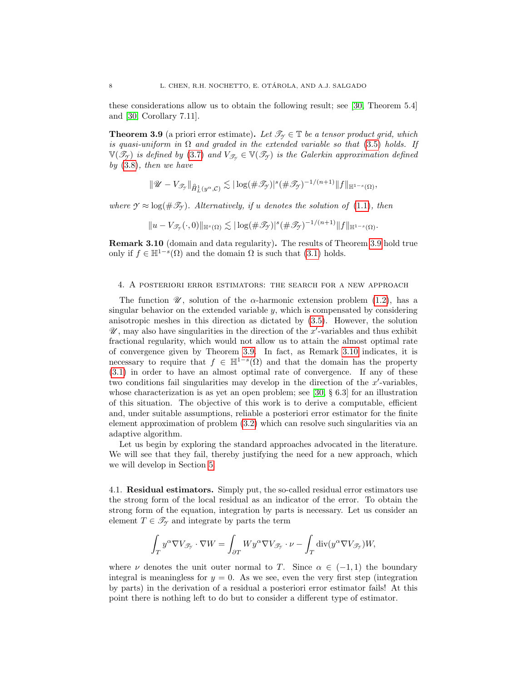these considerations allow us to obtain the following result; see [\[30,](#page-24-2) Theorem 5.4] and [\[30,](#page-24-2) Corollary 7.11].

<span id="page-7-1"></span>**Theorem 3.9** (a priori error estimate). Let  $\mathcal{T}_{\gamma} \in \mathbb{T}$  be a tensor product grid, which is quasi-uniform in  $\Omega$  and graded in the extended variable so that [\(3.5\)](#page-6-1) holds. If  $\mathbb{V}(\mathcal{I}_{\mathcal{I}})$  is defined by [\(3.7\)](#page-6-2) and  $V_{\mathcal{I}_{\mathcal{I}}} \in \mathbb{V}(\mathcal{I}_{\mathcal{I}})$  is the Galerkin approximation defined by [\(3.8\)](#page-6-0), then we have

$$
\|\mathscr{U}-V_{\mathscr{T}_{\mathscr{I}}}\|_{\hat{H}^1_L(y^\alpha,\mathcal{C})}\lesssim |\log(\#\mathscr{T}_{\mathscr{I}})|^s(\#\mathscr{T}_{\mathscr{I}})^{-1/(n+1)}\|f\|_{\mathbb{H}^{1-s}(\Omega)},
$$

where  $\mathcal{Y} \approx \log(\#\mathcal{I}_\mathcal{Y})$ . Alternatively, if u denotes the solution of [\(1.1\)](#page-0-0), then

$$
||u-V_{\mathscr{T}_{\mathcal{T}}}(\cdot,0)||_{\mathbb{H}^{s}(\Omega)}\lesssim |\log(\#\mathscr{T}_{\mathcal{T}})|^{s}(\#\mathscr{T}_{\mathcal{T}})^{-1/(n+1)}||f||_{\mathbb{H}^{1-s}(\Omega)}.
$$

<span id="page-7-2"></span>Remark 3.10 (domain and data regularity). The results of Theorem [3.9](#page-7-1) hold true only if  $f \in \mathbb{H}^{1-s}(\Omega)$  and the domain  $\Omega$  is such that  $(3.1)$  holds.

## <span id="page-7-0"></span>4. A posteriori error estimators: the search for a new approach

The function  $\mathscr{U}$ , solution of the  $\alpha$ -harmonic extension problem [\(1.2\)](#page-0-1), has a singular behavior on the extended variable  $y$ , which is compensated by considering anisotropic meshes in this direction as dictated by [\(3.5\)](#page-6-1). However, the solution  $\mathscr{U}$ , may also have singularities in the direction of the x'-variables and thus exhibit fractional regularity, which would not allow us to attain the almost optimal rate of convergence given by Theorem [3.9.](#page-7-1) In fact, as Remark [3.10](#page-7-2) indicates, it is necessary to require that  $f \in \mathbb{H}^{1-s}(\Omega)$  and that the domain has the property [\(3.1\)](#page-5-4) in order to have an almost optimal rate of convergence. If any of these two conditions fail singularities may develop in the direction of the  $x'$ -variables, whose characterization is as yet an open problem; see [\[30,](#page-24-2) § 6.3] for an illustration of this situation. The objective of this work is to derive a computable, efficient and, under suitable assumptions, reliable a posteriori error estimator for the finite element approximation of problem [\(3.2\)](#page-5-1) which can resolve such singularities via an adaptive algorithm.

Let us begin by exploring the standard approaches advocated in the literature. We will see that they fail, thereby justifying the need for a new approach, which we will develop in Section [5.](#page-8-0)

4.1. Residual estimators. Simply put, the so-called residual error estimators use the strong form of the local residual as an indicator of the error. To obtain the strong form of the equation, integration by parts is necessary. Let us consider an element  $T \in \mathcal{T}_{\gamma}$  and integrate by parts the term

$$
\int_T y^{\alpha}\nabla V_{\mathscr{T}_{\mathscr{T}}}\cdot\nabla W=\int_{\partial T}W y^{\alpha}\nabla V_{\mathscr{T}_{\mathscr{T}}}\cdot\nu-\int_T\mathrm{div}(y^{\alpha}\nabla V_{\mathscr{T}_{\mathscr{T}}})W,
$$

where  $\nu$  denotes the unit outer normal to T. Since  $\alpha \in (-1,1)$  the boundary integral is meaningless for  $y = 0$ . As we see, even the very first step (integration by parts) in the derivation of a residual a posteriori error estimator fails! At this point there is nothing left to do but to consider a different type of estimator.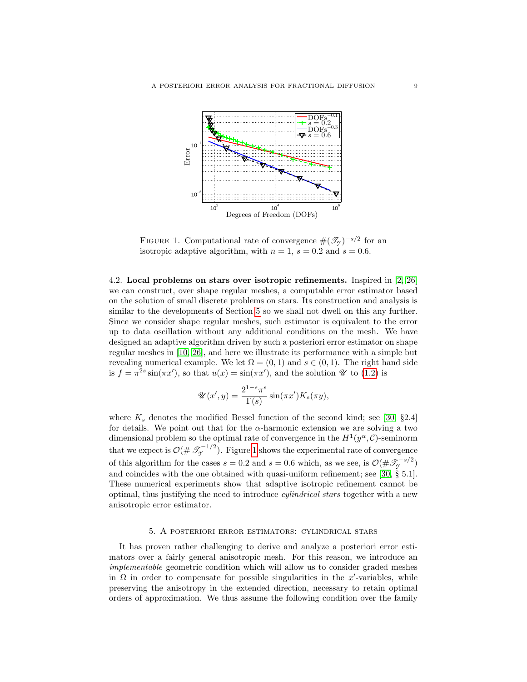

<span id="page-8-1"></span>FIGURE 1. Computational rate of convergence  $\#(\mathcal{T}_{\gamma})^{-s/2}$  for an isotropic adaptive algorithm, with  $n = 1$ ,  $s = 0.2$  and  $s = 0.6$ .

<span id="page-8-2"></span>4.2. Local problems on stars over isotropic refinements. Inspired in [\[2,](#page-23-6) [26\]](#page-24-11) we can construct, over shape regular meshes, a computable error estimator based on the solution of small discrete problems on stars. Its construction and analysis is similar to the developments of Section [5](#page-8-0) so we shall not dwell on this any further. Since we consider shape regular meshes, such estimator is equivalent to the error up to data oscillation without any additional conditions on the mesh. We have designed an adaptive algorithm driven by such a posteriori error estimator on shape regular meshes in [\[10,](#page-23-9) [26\]](#page-24-11), and here we illustrate its performance with a simple but revealing numerical example. We let  $\Omega = (0,1)$  and  $s \in (0,1)$ . The right hand side is  $f = \pi^{2s} \sin(\pi x')$ , so that  $u(x) = \sin(\pi x')$ , and the solution  $\mathscr U$  to [\(1.2\)](#page-0-1) is

$$
\mathscr{U}(x',y) = \frac{2^{1-s}\pi^s}{\Gamma(s)}\sin(\pi x')K_s(\pi y),
$$

where  $K_s$  denotes the modified Bessel function of the second kind; see [\[30,](#page-24-2) §2.4] for details. We point out that for the  $\alpha$ -harmonic extension we are solving a two dimensional problem so the optimal rate of convergence in the  $H^1(y^{\alpha}, \mathcal{C})$ -seminorm that we expect is  $\mathcal{O}(\#\mathscr{T}_{\mathcal{I}}^{-1/2})$ . Figure [1](#page-8-1) shows the experimental rate of convergence of this algorithm for the cases  $s = 0.2$  and  $s = 0.6$  which, as we see, is  $\mathcal{O}(\#\mathcal{F}_{\gamma}^{-s/2})$ and coincides with the one obtained with quasi-uniform refinement; see [\[30,](#page-24-2) § 5.1]. These numerical experiments show that adaptive isotropic refinement cannot be optimal, thus justifying the need to introduce cylindrical stars together with a new anisotropic error estimator.

### 5. A posteriori error estimators: cylindrical stars

<span id="page-8-0"></span>It has proven rather challenging to derive and analyze a posteriori error estimators over a fairly general anisotropic mesh. For this reason, we introduce an implementable geometric condition which will allow us to consider graded meshes in  $\Omega$  in order to compensate for possible singularities in the x'-variables, while preserving the anisotropy in the extended direction, necessary to retain optimal orders of approximation. We thus assume the following condition over the family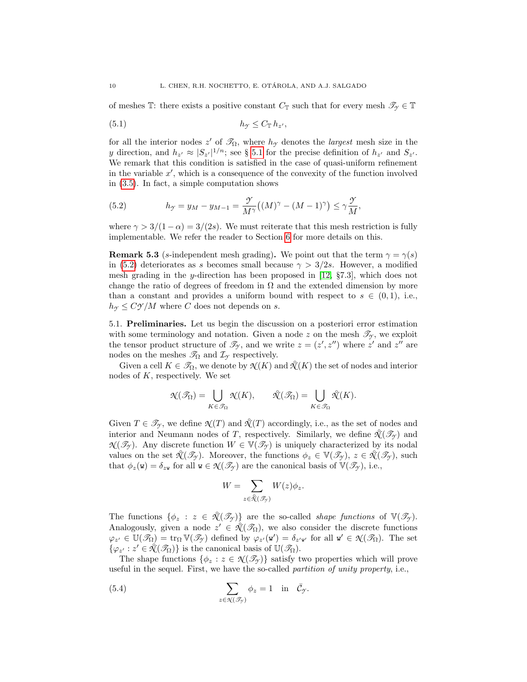of meshes T: there exists a positive constant  $C_{\mathbb{T}}$  such that for every mesh  $\mathscr{T}_{\gamma} \in \mathbb{T}$ 

<span id="page-9-2"></span>(5.1) h*<sup>Y</sup>* ≤ C<sup>T</sup> h<sup>z</sup> 0 ,

for all the interior nodes z' of  $\mathcal{I}_{\Omega}$ , where  $h_{\mathcal{I}}$  denotes the *largest* mesh size in the y direction, and  $h_{z'} \approx |S_{z'}|^{1/n}$ ; see § [5.1](#page-9-0) for the precise definition of  $h_{z'}$  and  $S_{z'}$ . We remark that this condition is satisfied in the case of quasi-uniform refinement in the variable  $x'$ , which is a consequence of the convexity of the function involved in [\(3.5\)](#page-6-1). In fact, a simple computation shows

<span id="page-9-1"></span>(5.2) 
$$
h_{\mathcal{Y}} = y_M - y_{M-1} = \frac{\mathcal{Y}}{M^{\gamma}}((M)^{\gamma} - (M-1)^{\gamma}) \leq \gamma \frac{\mathcal{Y}}{M},
$$

where  $\gamma > 3/(1 - \alpha) = 3/(2s)$ . We must reiterate that this mesh restriction is fully implementable. We refer the reader to Section [6](#page-16-0) for more details on this.

**Remark 5.3** (s-independent mesh grading). We point out that the term  $\gamma = \gamma(s)$ in [\(5.2\)](#page-9-1) deteriorates as s becomes small because  $\gamma > 3/2s$ . However, a modified mesh grading in the y-direction has been proposed in [\[12,](#page-23-10) §7.3], which does not change the ratio of degrees of freedom in  $\Omega$  and the extended dimension by more than a constant and provides a uniform bound with respect to  $s \in (0,1)$ , i.e.,  $h_{\gamma} \leq C\gamma/M$  where C does not depends on s.

<span id="page-9-0"></span>5.1. Preliminaries. Let us begin the discussion on a posteriori error estimation with some terminology and notation. Given a node z on the mesh  $\mathcal{T}_{\gamma}$ , we exploit the tensor product structure of  $\mathcal{I}_{\gamma}$ , and we write  $z = (z', z'')$  where  $z'$  and  $z''$  are nodes on the meshes  $\mathcal{T}_{\Omega}$  and  $\mathcal{I}_{\gamma}$  respectively.

Given a cell  $K \in \mathcal{T}_{\Omega}$ , we denote by  $\mathcal{N}(K)$  and  $\mathcal{N}(K)$  the set of nodes and interior nodes of  $K$ , respectively. We set

$$
\mathcal{N}(\mathcal{I}_{\Omega}) = \bigcup_{K \in \mathcal{I}_{\Omega}} \mathcal{N}(K), \qquad \mathcal{N}(\mathcal{I}_{\Omega}) = \bigcup_{K \in \mathcal{I}_{\Omega}} \mathcal{N}(K).
$$

Given  $T \in \mathcal{I}_{\gamma}$ , we define  $\mathcal{N}(T)$  and  $\mathcal{N}(T)$  accordingly, i.e., as the set of nodes and interior and Neumann nodes of T, respectively. Similarly, we define  $\mathcal{N}(\mathcal{I}_{\mathcal{I}})$  and  $\mathcal{N}(\mathcal{I}_{\mathcal{T}})$ . Any discrete function  $W \in \mathbb{V}(\mathcal{I}_{\mathcal{T}})$  is uniquely characterized by its nodal values on the set  $\mathcal{N}(\mathcal{I}_{\mathcal{F}})$ . Moreover, the functions  $\phi_z \in \mathbb{V}(\mathcal{I}_{\mathcal{F}})$ ,  $z \in \mathcal{N}(\mathcal{I}_{\mathcal{F}})$ , such that  $\phi_z(\mathbf{w}) = \delta_{z\mathbf{w}}$  for all  $\mathbf{w} \in \mathcal{N}(\mathcal{I}_\gamma)$  are the canonical basis of  $\mathbb{V}(\mathcal{I}_\gamma)$ , i.e.,

$$
W = \sum_{z \in \mathcal{X}(\mathcal{J}_y)} W(z) \phi_z.
$$

The functions  $\{\phi_z : z \in \mathcal{K}(\mathcal{I}_{\mathcal{I}})\}\$  are the so-called *shape functions* of  $\mathbb{V}(\mathcal{I}_{\mathcal{I}})$ . Analogously, given a node  $z' \in \mathcal{K}(\mathcal{I}_{\Omega})$ , we also consider the discrete functions  $\varphi_{z'} \in \mathbb{U}(\mathscr{T}_{\Omega}) = \text{tr}_{\Omega} \mathbb{V}(\mathscr{T}_{\gamma})$  defined by  $\varphi_{z'}(\mathbf{w}') = \delta_{z'\mathbf{w}'}$  for all  $\mathbf{w}' \in \mathcal{N}(\mathscr{T}_{\Omega})$ . The set  $\{\varphi_{z'} : z' \in \mathcal{N}(\mathcal{S}_{\Omega})\}\$ is the canonical basis of  $\mathbb{U}(\mathcal{S}_{\Omega})$ .

The shape functions  $\{\phi_z : z \in \mathcal{N}(\mathcal{I}_\gamma)\}\$  satisfy two properties which will prove useful in the sequel. First, we have the so-called partition of unity property, i.e.,

(5.4) 
$$
\sum_{z \in \mathcal{N}(\mathcal{S}_y)} \phi_z = 1 \text{ in } \bar{\mathcal{C}}_y.
$$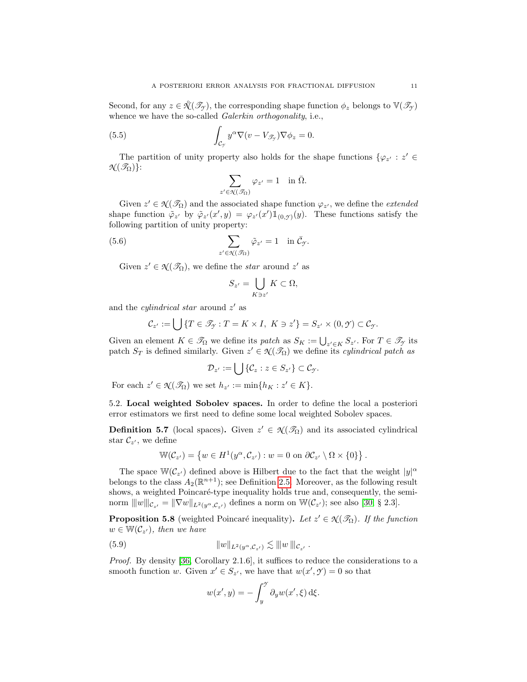Second, for any  $z \in \mathcal{K}(\mathcal{I}_{\mathcal{I}})$ , the corresponding shape function  $\phi_z$  belongs to  $\mathbb{V}(\mathcal{I}_{\mathcal{I}})$ whence we have the so-called *Galerkin orthogonality*, i.e.,

(5.5) 
$$
\int_{\mathcal{C}_{\mathcal{I}}} y^{\alpha} \nabla (v - V_{\mathcal{I}_{\mathcal{I}}}) \nabla \phi_z = 0.
$$

<span id="page-10-4"></span> $z'$ 

The partition of unity property also holds for the shape functions  $\{\varphi_{z'} : z' \in \mathbb{R}\}$  $\mathcal{N}(\mathscr{T}_{\Omega})\}$ :

<span id="page-10-3"></span>
$$
\sum_{\ell \in \mathcal{N}(\mathcal{I}_{\Omega})} \varphi_{z'} = 1 \quad \text{in } \bar{\Omega}.
$$

Given  $z' \in \mathcal{N}(\mathcal{I}_{\Omega})$  and the associated shape function  $\varphi_{z'}$ , we define the *extended* shape function  $\tilde{\varphi}_{z'}$  by  $\tilde{\varphi}_{z'}(x', y) = \varphi_{z'}(x') 1\!\!\!\mathbb{1}_{(0, \mathcal{Y})}(y)$ . These functions satisfy the following partition of unity property:

(5.6) 
$$
\sum_{z' \in \mathcal{N}(\mathcal{I}_{\Omega})} \tilde{\varphi}_{z'} = 1 \quad \text{in } \bar{\mathcal{C}}_{\mathcal{Y}}.
$$

Given  $z' \in \mathcal{N}(\mathcal{I}_{\Omega})$ , we define the *star* around  $z'$  as

$$
S_{z'} = \bigcup_{K \ni z'} K \subset \Omega,
$$

and the *cylindrical star* around  $z'$  as

$$
\mathcal{C}_{z'} := \bigcup \{ T \in \mathcal{I}_{\mathcal{Y}} : T = K \times I, \ K \ni z' \} = S_{z'} \times (0, \mathcal{Y}) \subset \mathcal{C}_{\mathcal{Y}}.
$$

Given an element  $K \in \mathcal{T}_{\Omega}$  we define its patch as  $S_K := \bigcup_{z' \in K} S_{z'}$ . For  $T \in \mathcal{T}_{\gamma}$  its patch  $S_T$  is defined similarly. Given  $z' \in \mathcal{N}(\mathcal{I}_\Omega)$  we define its *cylindrical patch as* 

$$
\mathcal{D}_{z'}:=\bigcup\{\mathcal{C}_z:z\in S_{z'}\}\subset\mathcal{C}_{\mathcal{Y}}.
$$

For each  $z' \in \mathcal{N}(\mathcal{I}_{\Omega})$  we set  $h_{z'} := \min\{h_K : z' \in K\}.$ 

<span id="page-10-0"></span>5.2. Local weighted Sobolev spaces. In order to define the local a posteriori error estimators we first need to define some local weighted Sobolev spaces.

**Definition 5.7** (local spaces). Given  $z' \in \mathcal{X}(\mathcal{I}_\Omega)$  and its associated cylindrical star  $\mathcal{C}_{z'}$ , we define

$$
\mathbb{W}(\mathcal{C}_{z'}) = \left\{ w \in H^1(y^{\alpha}, \mathcal{C}_{z'}) : w = 0 \text{ on } \partial \mathcal{C}_{z'} \setminus \Omega \times \{0\} \right\}.
$$

The space  $\mathbb{W}(\mathcal{C}_{z})$  defined above is Hilbert due to the fact that the weight  $|y|^{\alpha}$ belongs to the class  $A_2(\mathbb{R}^{n+1})$ ; see Definition [2.5.](#page-4-5) Moreover, as the following result shows, a weighted Poincaré-type inequality holds true and, consequently, the seminorm  $|||w|||_{\mathcal{C}_{z'}} = ||\nabla w||_{L^2(y^{\alpha}, \mathcal{C}_{z'})}$  defines a norm on  $\mathbb{W}(\mathcal{C}_{z'})$ ; see also [\[30,](#page-24-2) § 2.3].

<span id="page-10-2"></span>**Proposition 5.8** (weighted Poincaré inequality). Let  $z' \in \mathcal{X}(\mathcal{I}_{\Omega})$ . If the function  $w \in \mathbb{W}(\mathcal{C}_{z}),$  then we have

(5.9) 
$$
||w||_{L^2(y^{\alpha}, C_{z'})} \lesssim |||w|||_{C_{z'}}.
$$

Proof. By density [\[36,](#page-24-16) Corollary 2.1.6], it suffices to reduce the considerations to a smooth function w. Given  $x' \in S_{z'}$ , we have that  $w(x', \mathcal{Y}) = 0$  so that

<span id="page-10-1"></span>
$$
w(x', y) = -\int_y^y \partial_y w(x', \xi) \,d\xi.
$$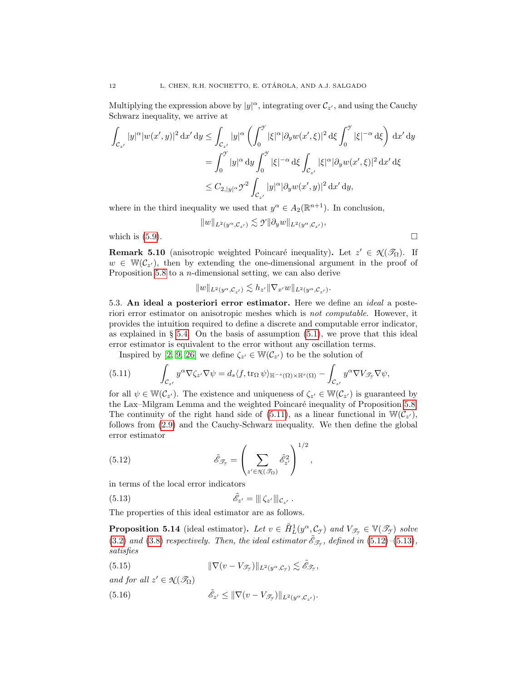Multiplying the expression above by  $|y|^{\alpha}$ , integrating over  $\mathcal{C}_{z'}$ , and using the Cauchy Schwarz inequality, we arrive at

$$
\begin{aligned} \int_{\mathcal{C}_{z'}} |y|^\alpha |w(x',y)|^2 \,\mathrm{d}x' \,\mathrm{d}y &\leq \int_{\mathcal{C}_{z'}} |y|^\alpha \left( \int_0^\gamma |\xi|^\alpha |\partial_y w(x',\xi)|^2 \,\mathrm{d}\xi \int_0^\gamma |\xi|^{-\alpha} \,\mathrm{d}\xi \right) \,\mathrm{d}x' \,\mathrm{d}y \\ &= \int_0^\gamma |y|^\alpha \,\mathrm{d}y \int_0^\gamma |\xi|^{-\alpha} \,\mathrm{d}\xi \int_{\mathcal{C}_{z'}} |\xi|^\alpha |\partial_y w(x',\xi)|^2 \,\mathrm{d}x' \,\mathrm{d}\xi \\ &\leq C_{2,|y|^\alpha} \mathcal{Y}^2 \int_{\mathcal{C}_{z'}} |y|^\alpha |\partial_y w(x',y)|^2 \,\mathrm{d}x' \,\mathrm{d}y, \end{aligned}
$$

where in the third inequality we used that  $y^{\alpha} \in A_2(\mathbb{R}^{n+1})$ . In conclusion,

$$
||w||_{L^2(y^{\alpha}, \mathcal{C}_{z'})} \lesssim \mathcal{Y} ||\partial_y w||_{L^2(y^{\alpha}, \mathcal{C}_{z'})},
$$

which is  $(5.9)$ .

**Remark 5.10** (anisotropic weighted Poincaré inequality). Let  $z' \in \mathcal{N}(\mathcal{I}_{\Omega})$ . If  $w \in \mathbb{W}(\mathcal{C}_{z'})$ , then by extending the one-dimensional argument in the proof of Proposition [5.8](#page-10-2) to a n-dimensional setting, we can also derive

$$
||w||_{L^2(y^{\alpha}, \mathcal{C}_{z'})} \lesssim h_{z'} ||\nabla_{x'} w||_{L^2(y^{\alpha}, \mathcal{C}_{z'})}.
$$

<span id="page-11-0"></span>5.3. An ideal a posteriori error estimator. Here we define an *ideal* a posteriori error estimator on anisotropic meshes which is not computable. However, it provides the intuition required to define a discrete and computable error indicator, as explained in  $\S$  [5.4.](#page-13-0) On the basis of assumption [\(5.1\)](#page-9-2), we prove that this ideal error estimator is equivalent to the error without any oscillation terms.

<span id="page-11-1"></span>Inspired by [\[2,](#page-23-6) [9,](#page-23-11) [26\]](#page-24-11) we define  $\zeta_{z'} \in \mathbb{W}(\mathcal{C}_{z'})$  to be the solution of

(5.11) 
$$
\int_{\mathcal{C}_{z'}} y^{\alpha} \nabla \zeta_{z'} \nabla \psi = d_s \langle f, \text{tr}_{\Omega} \psi \rangle_{\mathbb{H}^{-s}(\Omega) \times \mathbb{H}^s(\Omega)} - \int_{\mathcal{C}_{z'}} y^{\alpha} \nabla V_{\mathcal{F}_{\mathcal{F}}} \nabla \psi,
$$

for all  $\psi \in \mathbb{W}(\mathcal{C}_{z'})$ . The existence and uniqueness of  $\zeta_{z'} \in \mathbb{W}(\mathcal{C}_{z'})$  is guaranteed by the Lax–Milgram Lemma and the weighted Poincaré inequality of Proposition [5.8.](#page-10-2) The continuity of the right hand side of [\(5.11\)](#page-11-1), as a linear functional in  $\mathbb{W}(\mathcal{C}_{z'})$ , follows from [\(2.9\)](#page-4-4) and the Cauchy-Schwarz inequality. We then define the global error estimator

<span id="page-11-2"></span>(5.12) 
$$
\tilde{\mathscr{E}}_{\mathscr{T}_{\gamma}} = \left(\sum_{z' \in \mathcal{K}(\mathscr{T}_{\Omega})} \tilde{\mathscr{E}}_{z'}^{2}\right)^{1/2},
$$

in terms of the local error indicators

(5.13) 
$$
\tilde{\mathscr{E}}_{z'} = \| \zeta_{z'} \|_{\mathcal{C}_{z'}}.
$$

The properties of this ideal estimator are as follows.

<span id="page-11-6"></span>**Proposition 5.14** (ideal estimator). Let  $v \in \hat{H}_L^1(y^\alpha, \mathcal{C}_{\mathcal{I}})$  and  $V_{\mathcal{F}_{\mathcal{I}}} \in \mathbb{V}(\mathcal{F}_{\mathcal{I}})$  solve [\(3.2\)](#page-5-1) and [\(3.8\)](#page-6-0) respectively. Then, the ideal estimator  $\tilde{\mathscr{E}}_{\mathscr{F}_{\mathscr{F}}}$ , defined in [\(5.12\)](#page-11-2)–[\(5.13\)](#page-11-3), satisfies

<span id="page-11-3"></span>,

<span id="page-11-4"></span>(5.15) 
$$
\|\nabla(v - V_{\mathscr{T}_{\mathscr{T}}})\|_{L^2(y^{\alpha}, \mathcal{C}_{\mathscr{T}})} \lesssim \tilde{\mathscr{E}}_{\mathscr{T}_{\mathscr{T}}}
$$

and for all  $z' \in \mathcal{N}(\mathcal{S}_{\Omega})$ 

<span id="page-11-5"></span>(5.16) 
$$
\tilde{\mathscr{E}}_{z'} \leq \|\nabla(v - V_{\mathscr{T}_{\mathscr{T}}})\|_{L^2(y^{\alpha}, \mathcal{C}_{z'})}.
$$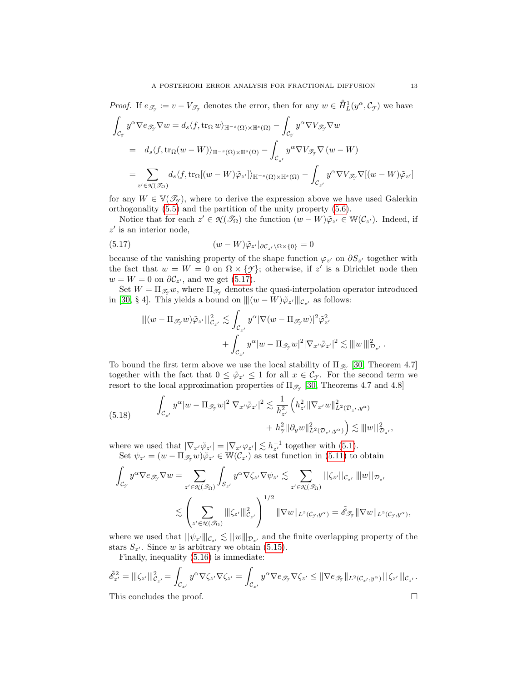*Proof.* If  $e_{\mathscr{T}_{\mathscr{T}}} := v - V_{\mathscr{T}_{\mathscr{T}}}$  denotes the error, then for any  $w \in \hat{H}_L^1(y^\alpha, \mathcal{C}_{\mathscr{T}})$  we have

$$
\int_{\mathcal{C}_{\mathcal{I}}} y^{\alpha} \nabla e_{\mathcal{I}_{\mathcal{I}}} \nabla w = d_{s} \langle f, \text{tr}_{\Omega} w \rangle_{\mathbb{H}^{-s}(\Omega) \times \mathbb{H}^{s}(\Omega)} - \int_{\mathcal{C}_{\mathcal{I}}} y^{\alpha} \nabla V_{\mathcal{I}_{\mathcal{I}}} \nabla w
$$
\n
$$
= d_{s} \langle f, \text{tr}_{\Omega}(w - W) \rangle_{\mathbb{H}^{-s}(\Omega) \times \mathbb{H}^{s}(\Omega)} - \int_{\mathcal{C}_{z'}} y^{\alpha} \nabla V_{\mathcal{I}_{\mathcal{I}}} \nabla (w - W)
$$
\n
$$
= \sum_{z' \in \mathcal{K}(\mathcal{I}_{\Omega})} d_{s} \langle f, \text{tr}_{\Omega}[(w - W) \tilde{\varphi}_{z'}] \rangle_{\mathbb{H}^{-s}(\Omega) \times \mathbb{H}^{s}(\Omega)} - \int_{\mathcal{C}_{z'}} y^{\alpha} \nabla V_{\mathcal{I}_{\mathcal{I}}} \nabla [(w - W) \tilde{\varphi}_{z'}]
$$

for any  $W \in V(\mathcal{T}_{\gamma})$ , where to derive the expression above we have used Galerkin orthogonality [\(5.5\)](#page-10-3) and the partition of the unity property [\(5.6\)](#page-10-4).

Notice that for each  $z' \in \mathcal{N}(\mathcal{S}_{\Omega})$  the function  $(w - W)\tilde{\varphi}_{z'} \in \mathbb{W}(\mathcal{C}_{z'})$ . Indeed, if  $z'$  is an interior node,

(5.17) 
$$
(w - W)\tilde{\varphi}_{z'}|_{\partial \mathcal{C}_{z'} \setminus \Omega \times \{0\}} = 0
$$

because of the vanishing property of the shape function  $\varphi_{z'}$  on  $\partial S_{z'}$  together with the fact that  $w = W = 0$  on  $\Omega \times \{\mathcal{Y}\}\$ ; otherwise, if z' is a Dirichlet node then  $w = W = 0$  on  $\partial \mathcal{C}_{z'}$ , and we get [\(5.17\)](#page-12-0).

Set  $W = \Pi_{\mathscr{T}_{\gamma}} w$ , where  $\Pi_{\mathscr{T}_{\gamma}}$  denotes the quasi-interpolation operator introduced in [\[30,](#page-24-2) § 4]. This yields a bound on  $\|(w - W)\tilde{\varphi}_{z'}\|_{\mathcal{C}_{z'}}$ , as follows:

<span id="page-12-0"></span>
$$
\begin{aligned} \|| (w - \Pi_{\mathscr{T}_{\mathcal{T}}} w) \tilde{\varphi}_{z'} \||_{\mathcal{C}_{z'}}^2 &\lesssim \int_{\mathcal{C}_{z'}} y^{\alpha} |\nabla (w - \Pi_{\mathscr{T}_{\mathcal{T}}} w)|^2 \tilde{\varphi}_{z'}^2 \\ &+ \int_{\mathcal{C}_{z'}} y^{\alpha} |w - \Pi_{\mathscr{T}_{\mathcal{T}}} w|^2 |\nabla_{x'} \tilde{\varphi}_{z'}|^2 &\lesssim \| |w| \|_{\mathcal{D}_{z'}}^2 \end{aligned}
$$

To bound the first term above we use the local stability of  $\Pi_{\mathscr{T}_{\gamma}}$  [\[30,](#page-24-2) Theorem 4.7] together with the fact that  $0 \leq \tilde{\varphi}_{z'} \leq 1$  for all  $x \in \mathcal{C}_{\mathcal{Y}}$ . For the second term we resort to the local approximation properties of  $\Pi_{\mathscr{T}_{\mathscr{T}}}\$  [\[30,](#page-24-2) Theorems 4.7 and 4.8]

<span id="page-12-1"></span>(5.18) 
$$
\int_{\mathcal{C}_{z'}} y^{\alpha} |w - \Pi_{\mathcal{S}_{\mathcal{Y}}} w|^2 |\nabla_{x'} \tilde{\varphi}_{z'}|^2 \lesssim \frac{1}{h_{z'}^2} \left( h_{z'}^2 \|\nabla_{x'} w\|_{L^2(\mathcal{D}_{z'}, y^{\alpha})}^2 + h_{\mathcal{Y}}^2 \|\partial_y w\|_{L^2(\mathcal{D}_{z'}, y^{\alpha})}^2 \right) \lesssim \|w\|_{\mathcal{D}_{z'}}^2,
$$

where we used that  $|\nabla_{x'} \tilde{\varphi}_{z'}| = |\nabla_{x'} \varphi_{z'}| \lesssim h_{z'}^{-1}$  together with [\(5.1\)](#page-9-2). Set  $\psi_{z'} = (w - \Pi_{\mathscr{T}_{\mathcal{Y}}} w)\tilde{\varphi}_{z'} \in \mathbb{W}(\mathcal{C}_{z'})$  as test function in [\(5.11\)](#page-11-1) to obtain

$$
\int_{\mathcal{C}_{\mathcal{I}}} y^{\alpha} \nabla e_{\mathcal{I}_{\mathcal{I}}} \nabla w = \sum_{z' \in \mathcal{N}(\mathcal{I}_{\Omega})} \int_{S_{z'}} y^{\alpha} \nabla \zeta_{z'} \nabla \psi_{z'} \lesssim \sum_{z' \in \mathcal{N}(\mathcal{I}_{\Omega})} ||\zeta_{z'}||_{\mathcal{C}_{z'}} |||w||_{\mathcal{D}_{z'}}
$$
  

$$
\lesssim \left(\sum_{z' \in \mathcal{N}(\mathcal{I}_{\Omega})} ||\zeta_{z'}||_{\mathcal{C}_{z'}}^2\right)^{1/2} ||\nabla w||_{L^2(\mathcal{C}_{\mathcal{I}}, y^{\alpha})} = \tilde{\mathcal{E}}_{\mathcal{I}_{\mathcal{I}}} ||\nabla w||_{L^2(\mathcal{C}_{\mathcal{I}}, y^{\alpha})},
$$

where we used that  $\|\psi_{z'}\|_{\mathcal{C}_{z'}} \lesssim \|\psi\|_{\mathcal{D}_{z'}}$  and the finite overlapping property of the stars  $S_{\perp}$ . Since w is arbitrary we obtain (5.15) stars  $S_{z'}$ . Since w is arbitrary we obtain [\(5.15\)](#page-11-4).

Finally, inequality [\(5.16\)](#page-11-5) is immediate:

$$
\tilde{\mathscr{E}}_{z'}^2 = ||\zeta_{z'}||_{\mathcal{C}_{z'}}^2 = \int_{\mathcal{C}_{z'}} y^\alpha \nabla \zeta_{z'} \nabla \zeta_{z'} = \int_{\mathcal{C}_{z'}} y^\alpha \nabla e_{\mathcal{S}_{\mathcal{T}}} \nabla \zeta_{z'} \le ||\nabla e_{\mathcal{S}_{\mathcal{T}}}||_{L^2(\mathcal{C}_{z'}, y^\alpha)} ||\zeta_{z'}||_{\mathcal{C}_{z'}}.
$$
\nThis concludes the proof

This concludes the proof.

.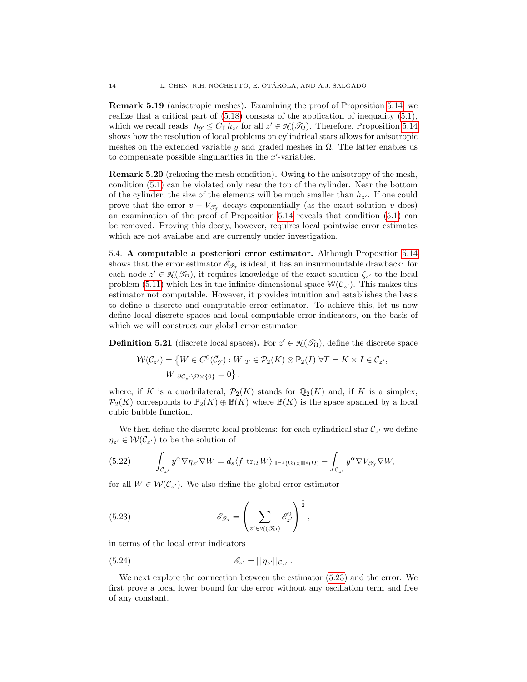Remark 5.19 (anisotropic meshes). Examining the proof of Proposition [5.14,](#page-11-6) we realize that a critical part of  $(5.18)$  consists of the application of inequality  $(5.1)$ , which we recall reads:  $h_{\mathcal{I}} \leq C_{\mathbb{T}} h_{z'}$  for all  $z' \in \mathcal{R}(\mathcal{I}_{\Omega})$ . Therefore, Proposition [5.14](#page-11-6) shows how the resolution of local problems on cylindrical stars allows for anisotropic meshes on the extended variable y and graded meshes in  $\Omega$ . The latter enables us to compensate possible singularities in the  $x'$ -variables.

<span id="page-13-5"></span>Remark 5.20 (relaxing the mesh condition). Owing to the anisotropy of the mesh, condition [\(5.1\)](#page-9-2) can be violated only near the top of the cylinder. Near the bottom of the cylinder, the size of the elements will be much smaller than  $h_{z'}$ . If one could prove that the error  $v - V_{\mathscr{T}_{\gamma}}$  decays exponentially (as the exact solution v does) an examination of the proof of Proposition [5.14](#page-11-6) reveals that condition [\(5.1\)](#page-9-2) can be removed. Proving this decay, however, requires local pointwise error estimates which are not availabe and are currently under investigation.

<span id="page-13-0"></span>5.4. A computable a posteriori error estimator. Although Proposition [5.14](#page-11-6) shows that the error estimator  $\tilde{\mathcal{E}}_{\mathcal{F}_{\mathcal{F}}}$  is ideal, it has an insurmountable drawback: for each node  $z' \in \mathcal{N}(\mathcal{I}_\Omega)$ , it requires knowledge of the exact solution  $\zeta_{z'}$  to the local problem [\(5.11\)](#page-11-1) which lies in the infinite dimensional space  $\mathbb{W}(\mathcal{C}_{z'})$ . This makes this estimator not computable. However, it provides intuition and establishes the basis to define a discrete and computable error estimator. To achieve this, let us now define local discrete spaces and local computable error indicators, on the basis of which we will construct our global error estimator.

<span id="page-13-4"></span>**Definition 5.21** (discrete local spaces). For  $z' \in \mathcal{X}(\mathcal{I}_{\Omega})$ , define the discrete space

$$
\mathcal{W}(\mathcal{C}_{z'}) = \left\{ W \in C^0(\bar{\mathcal{C}}_{\mathcal{Y}}) : W|_{T} \in \mathcal{P}_2(K) \otimes \mathbb{P}_2(I) \; \forall T = K \times I \in \mathcal{C}_{z'}, W|_{\partial \mathcal{C}_{z'} \setminus \Omega \times \{0\}} = 0 \right\}.
$$

where, if K is a quadrilateral,  $\mathcal{P}_2(K)$  stands for  $\mathbb{Q}_2(K)$  and, if K is a simplex,  $\mathcal{P}_2(K)$  corresponds to  $\mathbb{P}_2(K) \oplus \mathbb{B}(K)$  where  $\mathbb{B}(K)$  is the space spanned by a local cubic bubble function.

We then define the discrete local problems: for each cylindrical star  $\mathcal{C}_{z'}$  we define  $\eta_{z'} \in \mathcal{W}(\mathcal{C}_{z'})$  to be the solution of

<span id="page-13-2"></span>(5.22) 
$$
\int_{\mathcal{C}_{z'}} y^{\alpha} \nabla \eta_{z'} \nabla W = d_s \langle f, \text{tr}_{\Omega} W \rangle_{\mathbb{H}^{-s}(\Omega) \times \mathbb{H}^s(\Omega)} - \int_{\mathcal{C}_{z'}} y^{\alpha} \nabla V_{\mathcal{F}_{\mathcal{Y}}} \nabla W,
$$

for all  $W \in \mathcal{W}(\mathcal{C}_{z'})$ . We also define the global error estimator

<span id="page-13-1"></span>(5.23) 
$$
\mathcal{E}_{\mathcal{F}_{\mathcal{F}}} = \left(\sum_{z' \in \mathcal{N}(\mathcal{F}_{\Omega})} \mathcal{E}_{z'}^2\right)^{\frac{1}{2}},
$$

in terms of the local error indicators

<span id="page-13-3"></span>(5.24) 
$$
\mathscr{E}_{z'} = |||\eta_{z'}|||_{\mathcal{C}_{z'}}.
$$

We next explore the connection between the estimator [\(5.23\)](#page-13-1) and the error. We first prove a local lower bound for the error without any oscillation term and free of any constant.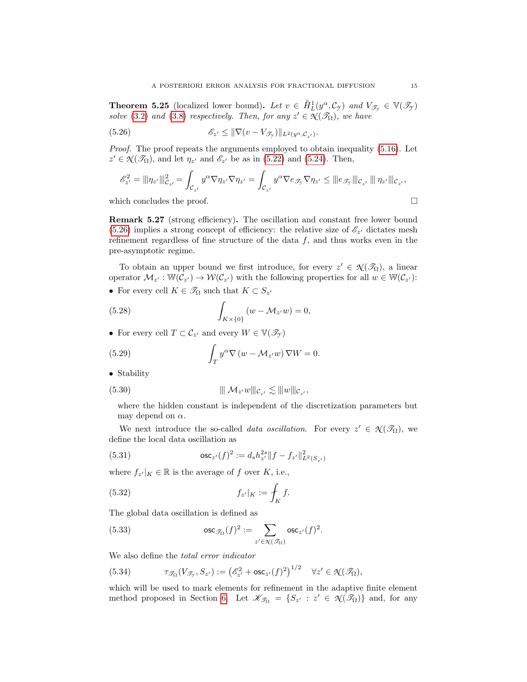**Theorem 5.25** (localized lower bound). Let  $v \in \hat{H}_L^1(y^\alpha, \mathcal{C}_{\gamma})$  and  $V_{\mathcal{T}_{\gamma}} \in V(\mathcal{T}_{\gamma})$ solve [\(3.2\)](#page-5-1) and [\(3.8\)](#page-6-0) respectively. Then, for any  $z' \in \mathcal{N}(\mathcal{I}_{\Omega})$ , we have

(5.26) 
$$
\mathscr{E}_{z'} \leq \|\nabla(v - V_{\mathscr{T}_{\mathscr{I}}})\|_{L^2(y^{\alpha}, \mathcal{C}_{z'})}.
$$

Proof. The proof repeats the arguments employed to obtain inequality [\(5.16\)](#page-11-5). Let  $z' \in \mathcal{N}(\mathcal{I}_{\Omega})$ , and let  $\eta_{z'}$  and  $\mathcal{E}_{z'}$  be as in [\(5.22\)](#page-13-2) and [\(5.24\)](#page-13-3). Then,

<span id="page-14-0"></span>
$$
\mathscr{E}_{z'}^2 = ||\eta_{z'}||_{\mathcal{C}_{z'}}^2 = \int_{\mathcal{C}_{z'}} y^{\alpha} \nabla \eta_{z'} \nabla \eta_{z'} = \int_{\mathcal{C}_{z'}} y^{\alpha} \nabla e_{\mathcal{I}_{\mathcal{T}}} \nabla \eta_{z'} \leq |||e_{\mathcal{I}_{\mathcal{T}}}|||e_{z'}|| \|\eta_{z'}|||e_{z'},
$$

which concludes the proof.  $\Box$ 

Remark 5.27 (strong efficiency). The oscillation and constant free lower bound [\(5.26\)](#page-14-0) implies a strong concept of efficiency: the relative size of  $\mathscr{E}_{z'}$  dictates mesh refinement regardless of fine structure of the data  $f$ , and thus works even in the pre-asymptotic regime.

To obtain an upper bound we first introduce, for every  $z' \in \mathcal{N}(\mathcal{I}_\Omega)$ , a linear operator  $\mathcal{M}_{z'} : \mathbb{W}(\mathcal{C}_{z'}) \to \mathcal{W}(\mathcal{C}_{z'})$  with the following properties for all  $w \in \mathbb{W}(\mathcal{C}_{z'})$ :

• For every cell  $K \in \mathscr{T}_{\Omega}$  such that  $K \subset S_{z'}$ 

<span id="page-14-1"></span>(5.28) 
$$
\int_{K \times \{0\}} (w - \mathcal{M}_{z'}w) = 0,
$$

<span id="page-14-3"></span>• For every cell  $T \subset \mathcal{C}_{z'}$  and every  $W \in \mathbb{V}(\mathscr{T}_{\mathcal{Y}})$ 

(5.29) 
$$
\int_T y^{\alpha} \nabla (w - \mathcal{M}_{z'} w) \nabla W = 0.
$$

• Stability

(5.30) 
$$
\|\mathcal{M}_{z'}w\|_{\mathcal{C}_{z'}} \lesssim \|\|w\|_{\mathcal{C}_{z'}},
$$

<span id="page-14-2"></span>where the hidden constant is independent of the discretization parameters but may depend on  $\alpha$ .

We next introduce the so-called *data oscillation*. For every  $z' \in \mathcal{X}(\mathcal{I}_{\Omega})$ , we define the local data oscillation as

<span id="page-14-4"></span>(5.31) 
$$
\qquad \qquad \text{osc}_{z'}(f)^2 := d_s h_{z'}^{2s} \|f - f_{z'}\|_{L^2(S_{z'})}^2
$$

where  $f_{z'}|_K \in \mathbb{R}$  is the average of f over K, i.e.,

$$
(5.32)\qquad \qquad f_{z'}|_K := \int_K f.
$$

The global data oscillation is defined as

(5.33) 
$$
\qquad \qquad \text{osc}_{\mathcal{I}_{\Omega}}(f)^2 := \sum_{z' \in \mathcal{N}(\mathcal{I}_{\Omega})} \text{osc}_{z'}(f)^2
$$

We also define the total error indicator

<span id="page-14-5"></span>(5.34) 
$$
\tau_{\mathscr{T}_{\Omega}}(V_{\mathscr{T}_{\mathscr{T}}},S_{z'}) := \left(\mathscr{E}_{z'}^2 + \mathsf{osc}_{z'}(f)^2\right)^{1/2} \quad \forall z' \in \mathcal{N}(\mathscr{T}_{\Omega}),
$$

which will be used to mark elements for refinement in the adaptive finite element method proposed in Section [6.](#page-16-0) Let  $\mathscr{K}_{\mathscr{T}_{\Omega}} = \{S_{z'} : z' \in \mathscr{N}(\mathscr{T}_{\Omega})\}\$ and, for any

.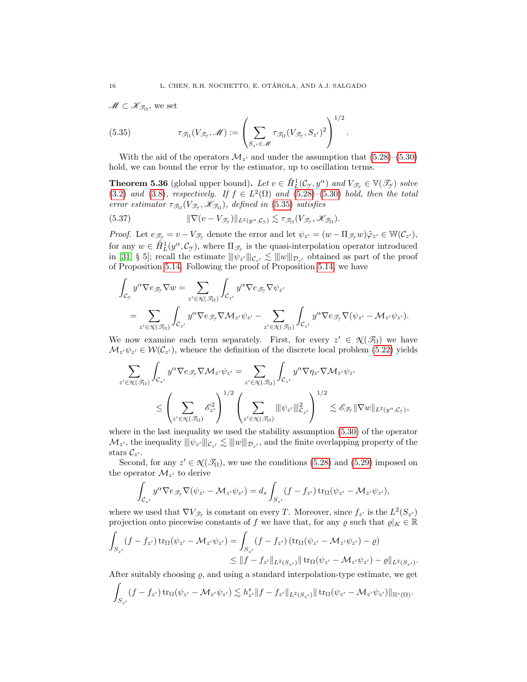$\mathscr{M} \subset \mathscr{K}_{\mathscr{T}_{\Omega}}$ , we set

<span id="page-15-0"></span>(5.35) 
$$
\tau_{\mathcal{I}_{\Omega}}(V_{\mathcal{I}_{\gamma}}, \mathscr{M}) := \left(\sum_{S_{z'} \in \mathscr{M}} \tau_{\mathcal{I}_{\Omega}}(V_{\mathcal{I}_{\gamma}}, S_{z'})^2\right)^{1/2}.
$$

With the aid of the operators  $\mathcal{M}_{z'}$  and under the assumption that  $(5.28)$ – $(5.30)$ hold, we can bound the error by the estimator, up to oscillation terms.

**Theorem 5.36** (global upper bound). Let  $v \in \hat{H}_L^1(\mathcal{C}_{\mathcal{I}}, y^\alpha)$  and  $V_{\mathcal{F}_{\mathcal{I}}} \in \mathbb{V}(\mathcal{F}_{\mathcal{I}})$  solve [\(3.2\)](#page-5-1) and [\(3.8\)](#page-6-0), respectively. If  $f \in L^2(\Omega)$  and [\(5.28\)](#page-14-1)–[\(5.30\)](#page-14-2) hold, then the total error estimator  $\tau_{\mathcal{I}_{\Omega}}(V_{\mathcal{I}_{\mathcal{T}}},\mathscr{K}_{\mathcal{I}_{\Omega}})$ , defined in [\(5.35\)](#page-15-0) satisfies

<span id="page-15-1"></span>(5.37) 
$$
\|\nabla(v-V_{\mathscr{T}_{\mathcal{Y}}})\|_{L^2(y^{\alpha},\mathcal{C}_{\mathcal{Y}})} \lesssim \tau_{\mathscr{T}_{\Omega}}(V_{\mathscr{T}_{\mathcal{Y}}},\mathscr{K}_{\mathscr{T}_{\Omega}}).
$$

*Proof.* Let  $e_{\mathscr{T}_{\mathscr{T}}} = v - V_{\mathscr{T}_{\mathscr{T}}}$  denote the error and let  $\psi_{z'} = (w - \Pi_{\mathscr{T}_{\mathscr{T}}} w) \tilde{\varphi}_{z'} \in \mathbb{W}(\mathcal{C}_{z'}),$ for any  $w \in \check{H}_L^1(y^\alpha, \mathcal{C}_{\gamma})$ , where  $\Pi_{\mathscr{T}_{\gamma}}$  is the quasi-interpolation operator introduced in [\[31,](#page-24-19) § 5]; recall the estimate  $\|\psi_{z'}\|_{\mathcal{C}_{z'}} \lesssim \|\omega\|_{\mathcal{D}_{z'}}$  obtained as part of the proof of Proposition [5.14,](#page-11-6) we have

$$
\int_{\mathcal{C}_{\mathcal{I}}} y^{\alpha} \nabla e_{\mathcal{I}_{\mathcal{I}}} \nabla w = \sum_{z' \in \mathcal{N}(\mathcal{I}_{\Omega})} \int_{\mathcal{C}_{z'}} y^{\alpha} \nabla e_{\mathcal{I}_{\mathcal{I}}} \nabla \psi_{z'}
$$
\n
$$
= \sum_{z' \in \mathcal{N}(\mathcal{I}_{\Omega})} \int_{\mathcal{C}_{z'}} y^{\alpha} \nabla e_{\mathcal{I}_{\mathcal{I}}} \nabla \mathcal{M}_{z'} \psi_{z'} - \sum_{z' \in \mathcal{N}(\mathcal{I}_{\Omega})} \int_{\mathcal{C}_{z'}} y^{\alpha} \nabla e_{\mathcal{I}_{\mathcal{I}}} \nabla (\psi_{z'} - \mathcal{M}_{z'} \psi_{z').}
$$

We now examine each term separately. First, for every  $z' \in \mathcal{N}(\mathcal{I}_\Omega)$  we have  $\mathcal{M}_{z'}\psi_{z'} \in \mathcal{W}(\mathcal{C}_{z'})$ , whence the definition of the discrete local problem [\(5.22\)](#page-13-2) yields

$$
\begin{aligned} \sum_{z' \in \mathcal{R}(\mathscr{T}_\Omega)} &\int_{\mathcal{C}_{z'}} y^\alpha \nabla e_{\mathscr{T}_{\mathcal{Y}}} \nabla \mathcal{M}_{z'} \psi_{z'} = \sum_{z' \in \mathcal{R}(\mathscr{T}_\Omega)} \int_{\mathcal{C}_{z'}} y^\alpha \nabla \eta_{z'} \nabla \mathcal{M}_{z'} \psi_{z'} \\ &\leq \left( \sum_{z' \in \mathcal{R}(\mathscr{T}_\Omega)} \mathscr{E}_{z'}^2 \right)^{1/2} \left( \sum_{z' \in \mathcal{R}(\mathscr{T}_\Omega)} \|\psi_{z'}\|_{\mathcal{C}_{z'}}^2 \right)^{1/2} \lesssim \mathscr{E}_{\mathscr{T}_{\mathcal{Y}}} \|\nabla w\|_{L^2(y^\alpha,\mathcal{C}_{\mathcal{Y}})}, \end{aligned}
$$

where in the last inequality we used the stability assumption [\(5.30\)](#page-14-2) of the operator  $\mathcal{M}_{z'}$ , the inequality  $|||\psi_{z'}|||_{\mathcal{C}_{z'}} \lesssim |||w||_{\mathcal{D}_{z'}}$ , and the finite overlapping property of the stars  $\mathcal{C}_{z'}$ .

Second, for any  $z' \in \mathcal{N}(\mathcal{I}_{\Omega})$ , we use the conditions [\(5.28\)](#page-14-1) and [\(5.29\)](#page-14-3) imposed on the operator  $\mathcal{M}_{z'}$  to derive

$$
\int_{\mathcal{C}_{z'}} y^{\alpha} \nabla e_{\mathcal{F}_{\mathcal{F}}} \nabla (\psi_{z'} - \mathcal{M}_{z'} \psi_{z'}) = d_s \int_{S_{z'}} (f - f_{z'}) \operatorname{tr}_{\Omega} (\psi_{z'} - \mathcal{M}_{z'} \psi_{z'}),
$$

where we used that  $\nabla V_{\mathcal{T}_{\mathcal{T}}}$  is constant on every T. Moreover, since  $f_{z'}$  is the  $L^2(S_{z'})$ projection onto piecewise constants of f we have that, for any  $\varrho$  such that  $\varrho|_K \in \mathbb{R}$ 

$$
\int_{S_{z'}} (f - f_{z'}) \operatorname{tr}_{\Omega}(\psi_{z'} - \mathcal{M}_{z'} \psi_{z'}) = \int_{S_{z'}} (f - f_{z'}) (\operatorname{tr}_{\Omega}(\psi_{z'} - \mathcal{M}_{z'} \psi_{z'}) - \varrho)
$$
\n
$$
\leq \|f - f_{z'}\|_{L^2(S_{z'})} \|\operatorname{tr}_{\Omega}(\psi_{z'} - \mathcal{M}_{z'} \psi_{z'}) - \varrho\|_{L^2(S_{z'})}
$$

After suitably choosing  $\rho$ , and using a standard interpolation-type estimate, we get

.

$$
\int_{S_{z'}} (f - f_{z'}) \operatorname{tr}_{\Omega}(\psi_{z'} - \mathcal{M}_{z'} \psi_{z'}) \lesssim h_{z'}^s \|f - f_{z'}\|_{L^2(S_{z'})} \|\operatorname{tr}_{\Omega}(\psi_{z'} - \mathcal{M}_{z'} \psi_{z'})\|_{\mathbb{H}^s(\Omega)}.
$$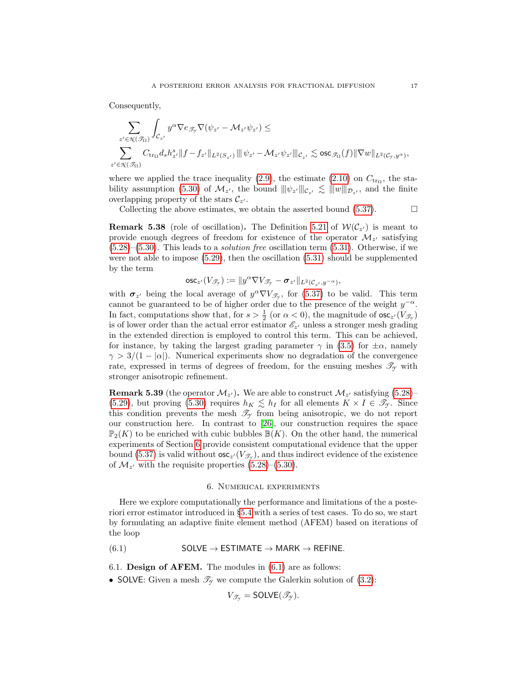Consequently,

$$
\begin{aligned}&\sum_{z'\in \operatorname{\mathsf{N}}(\mathscr{T}_\Omega)}\int_{\mathcal{C}_{z'}}y^\alpha\nabla e_{\mathscr{T}_{\operatorname{\mathsf{y}}}}\nabla(\psi_{z'}-\mathcal{M}_{z'}\psi_{z'})\leq\\&\sum_{z'\in \operatorname{\mathsf{N}}(\mathscr{T}_\Omega)}C_{\operatorname{tr}_\Omega}d_sh_{z'}^s\|f-f_{z'}\|_{L^2(S_{z'})}\,\|\psi_{z'}-\mathcal{M}_{z'}\psi_{z'}\|_{\mathcal{C}_{z'}}\lesssim\operatorname{osc}_{\mathscr{T}_\Omega}(f)\|\nabla w\|_{L^2(\mathcal{C}_{\operatorname{\mathsf{y}}},y^\alpha)},\end{aligned}
$$

where we applied the trace inequality [\(2.9\)](#page-4-4), the estimate [\(2.10\)](#page-4-3) on  $C_{\text{tr}_{\Omega}}$ , the sta-bility assumption [\(5.30\)](#page-14-2) of  $\mathcal{M}_{z'}$ , the bound  $||\psi_{z'}|||_{\mathcal{C}_{z'}} \lesssim |||w|||_{\mathcal{D}_{z'}}$ , and the finite overlapping property of the stars  $\mathcal{C}_{z'}$ .

Collecting the above estimates, we obtain the asserted bound  $(5.37)$ .

<span id="page-16-2"></span>**Remark 5.38** (role of oscillation). The Definition [5.21](#page-13-4) of  $W(C_{z})$  is meant to provide enough degrees of freedom for existence of the operator  $\mathcal{M}_{z'}$  satisfying  $(5.28)$ – $(5.30)$ . This leads to a *solution free* oscillation term  $(5.31)$ . Otherwise, if we were not able to impose [\(5.29\)](#page-14-3), then the oscillation [\(5.31\)](#page-14-4) should be supplemented by the term

$$
\mathsf{osc}_{z'}(V_{\mathscr{T}_{\mathscr{T}}}) := \|y^{\alpha} \nabla V_{\mathscr{T}_{\mathscr{T}}} - \boldsymbol{\sigma}_{z'}\|_{L^2(\mathcal{C}_{z'}, y^{-\alpha})},
$$

with  $\sigma_{z'}$  being the local average of  $y^{\alpha} \nabla V_{\mathscr{T}_{\gamma}}$ , for [\(5.37\)](#page-15-1) to be valid. This term cannot be guaranteed to be of higher order due to the presence of the weight  $y^{-\alpha}$ . In fact, computations show that, for  $s > \frac{1}{2}$  (or  $\alpha < 0$ ), the magnitude of  $\csc_z(V_{\mathscr{T}_{\gamma}})$ is of lower order than the actual error estimator  $\mathscr{E}_{z'}$  unless a stronger mesh grading in the extended direction is employed to control this term. This can be achieved, for instance, by taking the largest grading parameter  $\gamma$  in [\(3.5\)](#page-6-1) for  $\pm \alpha$ , namely  $\gamma > 3/(1 - |\alpha|)$ . Numerical experiments show no degradation of the convergence rate, expressed in terms of degrees of freedom, for the ensuing meshes  $\mathscr{T}_{\gamma}$  with stronger anisotropic refinement.

**Remark 5.39** (the operator  $\mathcal{M}_{z'}$ ). We are able to construct  $\mathcal{M}_{z'}$  satisfying [\(5.28\)](#page-14-1)– [\(5.29\)](#page-14-3), but proving [\(5.30\)](#page-14-2) requires  $h_K \leq h_I$  for all elements  $K \times I \in \mathscr{T}_{\mathcal{Y}}$ . Since this condition prevents the mesh  $\mathcal{T}_{\gamma}$  from being anisotropic, we do not report our construction here. In contrast to [\[26\]](#page-24-11), our construction requires the space  $\mathbb{P}_2(K)$  to be enriched with cubic bubbles  $\mathbb{B}(K)$ . On the other hand, the numerical experiments of Section [6](#page-16-0) provide consistent computational evidence that the upper bound [\(5.37\)](#page-15-1) is valid without  $\csc_{z'}(V_{\mathscr{T}_{\mathscr{T}}})$ , and thus indirect evidence of the existence of  $\mathcal{M}_{z'}$  with the requisite properties [\(5.28\)](#page-14-1)–[\(5.30\)](#page-14-2).

# <span id="page-16-1"></span>6. Numerical experiments

<span id="page-16-0"></span>Here we explore computationally the performance and limitations of the a posteriori error estimator introduced in §[5.4](#page-13-0) with a series of test cases. To do so, we start by formulating an adaptive finite element method (AFEM) based on iterations of the loop

 $(6.1)$  SOLVE  $\rightarrow$  ESTIMATE  $\rightarrow$  MARK  $\rightarrow$  REFINE.

6.1. Design of AFEM. The modules in [\(6.1\)](#page-16-1) are as follows:

• SOLVE: Given a mesh  $\mathcal{T}_{\gamma}$  we compute the Galerkin solution of [\(3.2\)](#page-5-1):

$$
V_{\mathscr{T}_{\gamma}} = \text{SOLVE}(\mathscr{T}_{\gamma}).
$$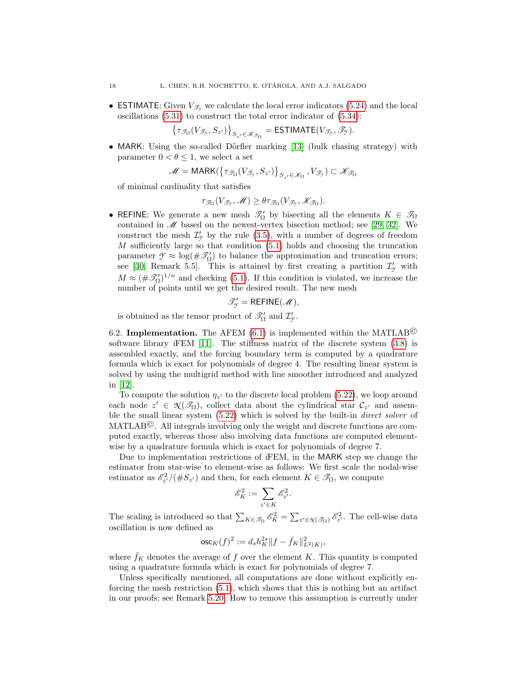• ESTIMATE: Given  $V_{\mathscr{T}_{Y}}$  we calculate the local error indicators [\(5.24\)](#page-13-3) and the local oscillations [\(5.31\)](#page-14-4) to construct the total error indicator of [\(5.34\)](#page-14-5):

 $\left\{\tau_{\mathscr{T}_{\Omega}}(V_{\mathscr{T}_{\mathscr{T}}},S_{z'})\right\}_{S_{z'}\in\mathscr{K}_{\mathscr{T}_{\Omega}}}$  = ESTIMATE( $V_{\mathscr{T}_{\mathscr{T}}},\mathscr{T}_{\mathscr{T}}$ ).

• MARK: Using the so-called Dörfler marking [\[13\]](#page-23-12) (bulk chasing strategy) with parameter  $0 < \theta \leq 1$ , we select a set

$$
\mathscr{M} = \text{MARK}(\{\tau_{\mathscr{T}_{\Omega}}(V_{\mathscr{T}_{\mathscr{T}}}, S_{z'})\}_{S_{z'} \in \mathscr{K}_{\Omega}}, V_{\mathscr{T}_{\mathscr{T}}}) \subset \mathscr{K}_{\mathscr{T}_{\Omega}}
$$

of minimal cardinality that satisfies

$$
\tau_{\mathscr{T}_{\Omega}}(V_{\mathscr{T}_{\mathscr{T}}},\mathscr{M}) \geq \theta \tau_{\mathscr{T}_{\Omega}}(V_{\mathscr{T}_{\mathscr{T}}},\mathscr{K}_{\mathscr{T}_{\Omega}}).
$$

• REFINE: We generate a new mesh  $\mathcal{T}'_{\Omega}$  by bisecting all the elements  $K \in \mathcal{T}_{\Omega}$ contained in  $\mathscr{M}$  based on the newest-vertex bisection method; see [\[29,](#page-24-20) [32\]](#page-24-21). We construct the mesh  $\mathcal{I}'_{\mathcal{I}}$  by the rule [\(3.5\)](#page-6-1), with a number of degrees of freedom  $M$  sufficiently large so that condition  $(5.1)$  holds and choosing the truncation parameter  $\mathcal{Y} \approx \log(\#\mathcal{I}_{\Omega})$  to balance the approximation and truncation errors; see [\[30,](#page-24-2) Remark 5.5]. This is attained by first creating a partition  $\mathcal{I}'_{\gamma}$  with  $M \approx (\#\mathscr{T}'_{\Omega})^{1/n}$  and checking [\(5.1\)](#page-9-2). If this condition is violated, we increase the number of points until we get the desired result. The new mesh

$$
\mathscr{T}'_{\gamma} = \mathsf{REFINE}(\mathscr{M}),
$$

is obtained as the tensor product of  $\mathcal{I}'_{\Omega}$  and  $\mathcal{I}'_{\gamma}$ .

6.2. **Implementation.** The AFEM [\(6.1\)](#page-16-1) is implemented within the MATLAB<sup>©</sup> software library  $iFEM$  [\[11\]](#page-23-13). The stiffness matrix of the discrete system  $(3.8)$  is assembled exactly, and the forcing boundary term is computed by a quadrature formula which is exact for polynomials of degree 4. The resulting linear system is solved by using the multigrid method with line smoother introduced and analyzed in [\[12\]](#page-23-10).

To compute the solution  $\eta_{z'}$  to the discrete local problem [\(5.22\)](#page-13-2), we loop around each node  $z' \in \mathcal{N}(\mathcal{I}_{\Omega})$ , collect data about the cylindrical star  $\mathcal{C}_{z'}$  and assemble the small linear system [\(5.22\)](#page-13-2) which is solved by the built-in direct solver of MATLAB©. All integrals involving only the weight and discrete functions are computed exactly, whereas those also involving data functions are computed elementwise by a quadrature formula which is exact for polynomials of degree 7.

Due to implementation restrictions of iFEM, in the MARK step we change the estimator from star-wise to element-wise as follows: We first scale the nodal-wise estimator as  $\mathscr{E}_{z'}^2/(\#S_{z'})$  and then, for each element  $K \in \mathscr{T}_{\Omega}$ , we compute

$$
\mathscr{E}_K^2 := \sum_{z' \in K} \mathscr{E}_{z'}^2.
$$

The scaling is introduced so that  $\sum_{K \in \mathcal{S}_\Omega} \mathscr{E}_K^2 = \sum_{z' \in \mathcal{X}(\mathcal{S}_\Omega)} \mathscr{E}_{z'}^2$ . The cell-wise data oscillation is now defined as

$$
{\rm osc}_K(f)^2:=d_sh_K^{2s}\|f-\bar{f}_K\|^2_{L^2(K)},
$$

where  $f_K$  denotes the average of f over the element K. This quantity is computed using a quadrature formula which is exact for polynomials of degree 7.

Unless specifically mentioned, all computations are done without explicitly enforcing the mesh restriction [\(5.1\)](#page-9-2), which shows that this is nothing but an artifact in our proofs; see Remark [5.20.](#page-13-5) How to remove this assumption is currently under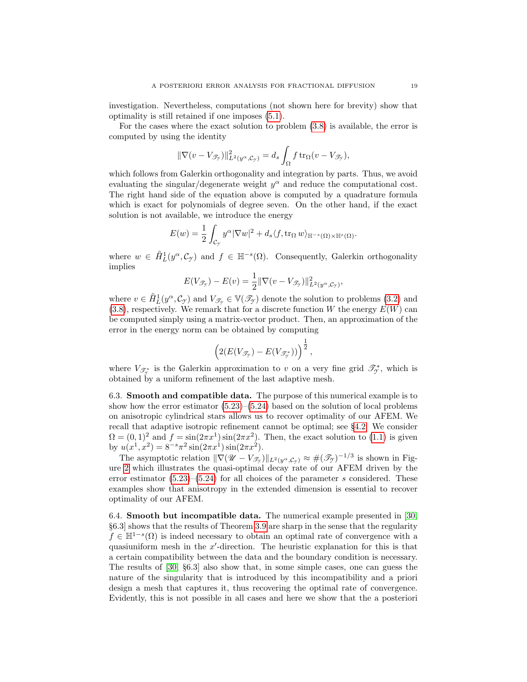investigation. Nevertheless, computations (not shown here for brevity) show that optimality is still retained if one imposes [\(5.1\)](#page-9-2).

For the cases where the exact solution to problem [\(3.8\)](#page-6-0) is available, the error is computed by using the identity

$$
\|\nabla(v-V_{\mathscr{T}_{\mathcal{T}}})\|_{L^2(y^{\alpha},\mathcal{C}_{\mathcal{T}})}^2 = d_s \int_{\Omega} f \operatorname{tr}_{\Omega}(v-V_{\mathscr{T}_{\mathcal{T}}}),
$$

which follows from Galerkin orthogonality and integration by parts. Thus, we avoid evaluating the singular/degenerate weight  $y^{\alpha}$  and reduce the computational cost. The right hand side of the equation above is computed by a quadrature formula which is exact for polynomials of degree seven. On the other hand, if the exact solution is not available, we introduce the energy

$$
E(w) = \frac{1}{2} \int_{\mathcal{C}_{\mathcal{Y}}} y^{\alpha} |\nabla w|^2 + d_s \langle f, \text{tr}_{\Omega} w \rangle_{\mathbb{H}^{-s}(\Omega) \times \mathbb{H}^s(\Omega)}.
$$

where  $w \in \hat{H}_L^1(y^\alpha, \mathcal{C}_{\gamma})$  and  $f \in \mathbb{H}^{-s}(\Omega)$ . Consequently, Galerkin orthogonality implies

$$
E(V_{\mathscr{T}_{\mathcal{Y}}})-E(v)=\frac{1}{2}\|\nabla(v-V_{\mathscr{T}_{\mathcal{Y}}})\|_{L^2(y^{\alpha},\mathcal{C}_{\mathcal{Y}})}^2,
$$

where  $v \in \hat{H}^1_L(y^\alpha, \mathcal{C}_{\mathcal{I}})$  and  $V_{\mathcal{I}_{\mathcal{I}}} \in \mathbb{V}(\mathcal{I}_{\mathcal{I}})$  denote the solution to problems [\(3.2\)](#page-5-1) and  $(3.8)$ , respectively. We remark that for a discrete function W the energy  $E(W)$  can be computed simply using a matrix-vector product. Then, an approximation of the error in the energy norm can be obtained by computing

$$
\left(2(E(V_{\mathscr{T}_{\mathcal{T}}})-E(V_{\mathscr{T}_{\mathcal{T}}^*}))\right)^{\frac{1}{2}},
$$

where  $V_{\mathscr{T}_{\mathscr{T}}^*}$  is the Galerkin approximation to v on a very fine grid  $\mathscr{T}_{\mathscr{T}}^*$ , which is obtained by a uniform refinement of the last adaptive mesh.

<span id="page-18-0"></span>6.3. Smooth and compatible data. The purpose of this numerical example is to show how the error estimator  $(5.23)$ – $(5.24)$  based on the solution of local problems on anisotropic cylindrical stars allows us to recover optimality of our AFEM. We recall that adaptive isotropic refinement cannot be optimal; see §[4.2.](#page-8-2) We consider  $\Omega = (0, 1)^2$  and  $f = \sin(2\pi x^1) \sin(2\pi x^2)$ . Then, the exact solution to [\(1.1\)](#page-0-0) is given by  $u(x^1, x^2) = 8^{-s} \pi^2 \sin(2\pi x^1) \sin(2\pi x^2)$ .

The asymptotic relation  $\|\nabla (\mathscr{U} - V_{\mathscr{T}_{\mathscr{Y}}})\|_{L^2(y^\alpha, \mathcal{C}_{\mathscr{Y}})} \approx \#(\mathscr{T}_{\mathscr{Y}})^{-1/3}$  is shown in Figure [2](#page-19-0) which illustrates the quasi-optimal decay rate of our AFEM driven by the error estimator  $(5.23)$ – $(5.24)$  for all choices of the parameter s considered. These examples show that anisotropy in the extended dimension is essential to recover optimality of our AFEM.

<span id="page-18-1"></span>6.4. Smooth but incompatible data. The numerical example presented in [\[30,](#page-24-2) §6.3] shows that the results of Theorem [3.9](#page-7-1) are sharp in the sense that the regularity  $f \in \mathbb{H}^{1-s}(\Omega)$  is indeed necessary to obtain an optimal rate of convergence with a quasiuniform mesh in the  $x'$ -direction. The heuristic explanation for this is that a certain compatibility between the data and the boundary condition is necessary. The results of [\[30,](#page-24-2) §6.3] also show that, in some simple cases, one can guess the nature of the singularity that is introduced by this incompatibility and a priori design a mesh that captures it, thus recovering the optimal rate of convergence. Evidently, this is not possible in all cases and here we show that the a posteriori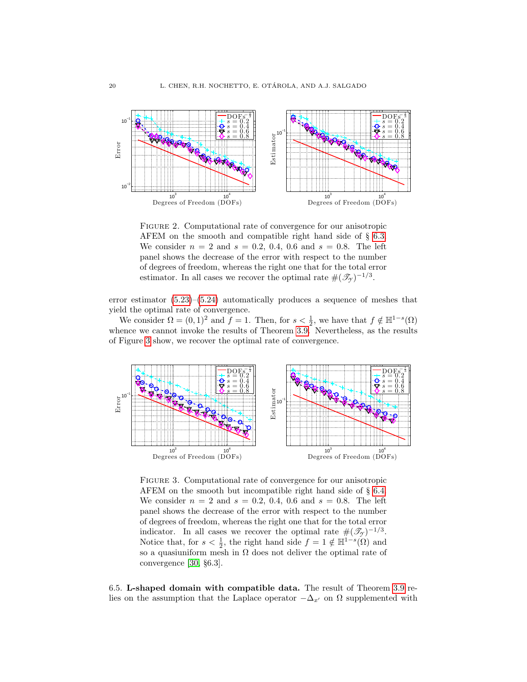

<span id="page-19-0"></span>Figure 2. Computational rate of convergence for our anisotropic AFEM on the smooth and compatible right hand side of § [6.3.](#page-18-0) We consider  $n = 2$  and  $s = 0.2, 0.4, 0.6$  and  $s = 0.8$ . The left panel shows the decrease of the error with respect to the number of degrees of freedom, whereas the right one that for the total error estimator. In all cases we recover the optimal rate  $\#(\mathcal{T}_{\gamma})^{-1/3}$ .

error estimator  $(5.23)$ – $(5.24)$  automatically produces a sequence of meshes that yield the optimal rate of convergence.

We consider  $\Omega = (0, 1)^2$  and  $f = 1$ . Then, for  $s < \frac{1}{2}$ , we have that  $f \notin \mathbb{H}^{1-s}(\Omega)$ whence we cannot invoke the results of Theorem [3.9.](#page-7-1) Nevertheless, as the results of Figure [3](#page-19-1) show, we recover the optimal rate of convergence.



<span id="page-19-1"></span>Figure 3. Computational rate of convergence for our anisotropic AFEM on the smooth but incompatible right hand side of § [6.4.](#page-18-1) We consider  $n = 2$  and  $s = 0.2, 0.4, 0.6$  and  $s = 0.8$ . The left panel shows the decrease of the error with respect to the number of degrees of freedom, whereas the right one that for the total error indicator. In all cases we recover the optimal rate  $#(\mathcal{T}_{\gamma})^{-1/3}$ . Notice that, for  $s < \frac{1}{2}$ , the right hand side  $f = 1 \notin \mathbb{H}^{1-s}(\Omega)$  and so a quasiuniform mesh in  $\Omega$  does not deliver the optimal rate of convergence [\[30,](#page-24-2) §6.3].

<span id="page-19-2"></span>6.5. L-shaped domain with compatible data. The result of Theorem [3.9](#page-7-1) relies on the assumption that the Laplace operator  $-\Delta_{x'}$  on  $\Omega$  supplemented with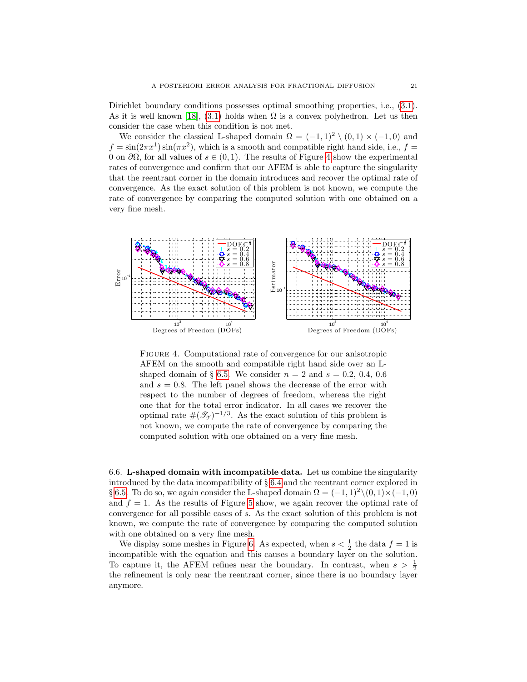Dirichlet boundary conditions possesses optimal smoothing properties, i.e., [\(3.1\)](#page-5-4). As it is well known [\[18\]](#page-24-18), [\(3.1\)](#page-5-4) holds when  $\Omega$  is a convex polyhedron. Let us then consider the case when this condition is not met.

We consider the classical L-shaped domain  $\Omega = (-1,1)^2 \setminus (0,1) \times (-1,0)$  and  $f = \sin(2\pi x^1)\sin(\pi x^2)$ , which is a smooth and compatible right hand side, i.e.,  $f =$ 0 on  $\partial\Omega$ , for all values of  $s \in (0,1)$ . The results of Figure [4](#page-20-0) show the experimental rates of convergence and confirm that our AFEM is able to capture the singularity that the reentrant corner in the domain introduces and recover the optimal rate of convergence. As the exact solution of this problem is not known, we compute the rate of convergence by comparing the computed solution with one obtained on a very fine mesh.



<span id="page-20-0"></span>Figure 4. Computational rate of convergence for our anisotropic AFEM on the smooth and compatible right hand side over an L-shaped domain of § [6.5.](#page-19-2) We consider  $n = 2$  and  $s = 0.2, 0.4, 0.6$ and  $s = 0.8$ . The left panel shows the decrease of the error with respect to the number of degrees of freedom, whereas the right one that for the total error indicator. In all cases we recover the optimal rate  $\#(\mathcal{T}_{\gamma})^{-1/3}$ . As the exact solution of this problem is not known, we compute the rate of convergence by comparing the computed solution with one obtained on a very fine mesh.

<span id="page-20-1"></span>6.6. L-shaped domain with incompatible data. Let us combine the singularity introduced by the data incompatibility of § [6.4](#page-18-1) and the reentrant corner explored in § [6.5.](#page-19-2) To do so, we again consider the L-shaped domain  $\Omega = (-1, 1)^2 \setminus (0, 1) \times (-1, 0)$ and  $f = 1$ . As the results of Figure [5](#page-21-0) show, we again recover the optimal rate of convergence for all possible cases of s. As the exact solution of this problem is not known, we compute the rate of convergence by comparing the computed solution with one obtained on a very fine mesh.

<span id="page-20-2"></span>We display some meshes in Figure [6.](#page-21-1) As expected, when  $s < \frac{1}{2}$  the data  $f = 1$  is incompatible with the equation and this causes a boundary layer on the solution. To capture it, the AFEM refines near the boundary. In contrast, when  $s > \frac{1}{2}$ the refinement is only near the reentrant corner, since there is no boundary layer anymore.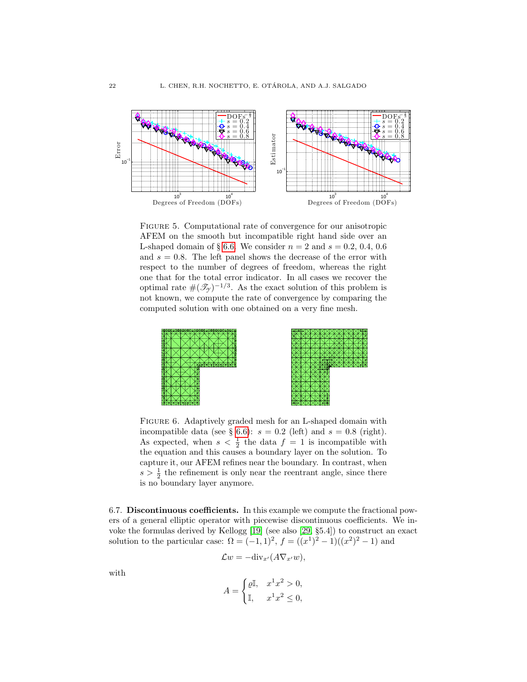

<span id="page-21-0"></span>Figure 5. Computational rate of convergence for our anisotropic AFEM on the smooth but incompatible right hand side over an L-shaped domain of § [6.6.](#page-20-1) We consider  $n = 2$  and  $s = 0.2, 0.4, 0.6$ and  $s = 0.8$ . The left panel shows the decrease of the error with respect to the number of degrees of freedom, whereas the right one that for the total error indicator. In all cases we recover the optimal rate  $\#(\mathcal{T}_{\gamma})^{-1/3}$ . As the exact solution of this problem is not known, we compute the rate of convergence by comparing the computed solution with one obtained on a very fine mesh.



<span id="page-21-1"></span>FIGURE 6. Adaptively graded mesh for an L-shaped domain with incompatible data (see § [6.6\)](#page-20-1):  $s = 0.2$  (left) and  $s = 0.8$  (right). As expected, when  $s < \frac{1}{2}$  the data  $f = 1$  is incompatible with the equation and this causes a boundary layer on the solution. To capture it, our AFEM refines near the boundary. In contrast, when  $s > \frac{1}{2}$  the refinement is only near the reentrant angle, since there is no boundary layer anymore.

6.7. Discontinuous coefficients. In this example we compute the fractional powers of a general elliptic operator with piecewise discontinuous coefficients. We invoke the formulas derived by Kellogg [\[19\]](#page-24-22) (see also [\[29,](#page-24-20) §5.4]) to construct an exact solution to the particular case:  $\Omega = (-1, 1)^2$ ,  $f = ((x^1)^2 - 1)((x^2)^2 - 1)$  and

$$
\mathcal{L}w = -\mathrm{div}_{x'}(A\nabla_{x'}w),
$$

with

$$
A = \begin{cases} \varrho \mathbb{I}, & x^1 x^2 > 0, \\ \mathbb{I}, & x^1 x^2 \le 0, \end{cases}
$$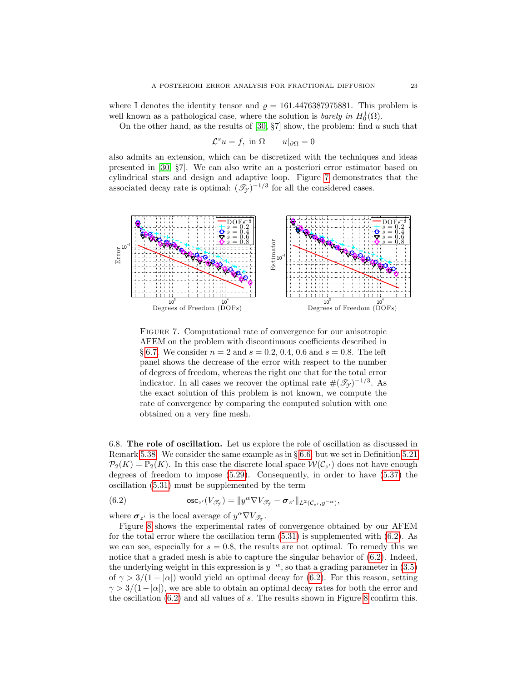where I denotes the identity tensor and  $\rho = 161.4476387975881$ . This problem is well known as a pathological case, where the solution is *barely in*  $H_0^1(\Omega)$ .

On the other hand, as the results of  $[30, 87]$  show, the problem: find u such that

$$
\mathcal{L}^s u = f, \text{ in } \Omega \qquad u|_{\partial \Omega} = 0
$$

also admits an extension, which can be discretized with the techniques and ideas presented in [\[30,](#page-24-2) §7]. We can also write an a posteriori error estimator based on cylindrical stars and design and adaptive loop. Figure [7](#page-22-0) demonstrates that the associated decay rate is optimal:  $(\mathcal{T}_{\gamma})^{-1/3}$  for all the considered cases.



<span id="page-22-0"></span>Figure 7. Computational rate of convergence for our anisotropic AFEM on the problem with discontinuous coefficients described in § [6.7.](#page-20-2) We consider  $n = 2$  and  $s = 0.2, 0.4, 0.6$  and  $s = 0.8$ . The left panel shows the decrease of the error with respect to the number of degrees of freedom, whereas the right one that for the total error indicator. In all cases we recover the optimal rate  $\#(\mathcal{T}_{\gamma})^{-1/3}$ . As the exact solution of this problem is not known, we compute the rate of convergence by comparing the computed solution with one obtained on a very fine mesh.

6.8. The role of oscillation. Let us explore the role of oscillation as discussed in Remark [5.38.](#page-16-2) We consider the same example as in § [6.6,](#page-20-1) but we set in Definition [5.21](#page-13-4)  $\mathcal{P}_2(K) = \mathbb{P}_2(K)$ . In this case the discrete local space  $\mathcal{W}(\mathcal{C}_{z'})$  does not have enough degrees of freedom to impose [\(5.29\)](#page-14-3). Consequently, in order to have [\(5.37\)](#page-15-1) the oscillation [\(5.31\)](#page-14-4) must be supplemented by the term

<span id="page-22-1"></span>(6.2) 
$$
\qquad \qquad \text{osc}_{z'}(V_{\mathscr{T}_{\mathscr{T}}}) = \|y^{\alpha}\nabla V_{\mathscr{T}_{\mathscr{T}}} - \sigma_{z'}\|_{L^2(\mathcal{C}_{z'},y^{-\alpha})},
$$

where  $\sigma_{z'}$  is the local average of  $y^{\alpha} \nabla V_{\mathscr{T}_{\mathcal{T}}}$ .

Figure [8](#page-23-14) shows the experimental rates of convergence obtained by our AFEM for the total error where the oscillation term  $(5.31)$  is supplemented with  $(6.2)$ . As we can see, especially for  $s = 0.8$ , the results are not optimal. To remedy this we notice that a graded mesh is able to capture the singular behavior of  $(6.2)$ . Indeed, the underlying weight in this expression is  $y^{-\alpha}$ , so that a grading parameter in [\(3.5\)](#page-6-1) of  $\gamma > 3/(1 - |\alpha|)$  would yield an optimal decay for [\(6.2\)](#page-22-1). For this reason, setting  $\gamma > 3/(1-|\alpha|)$ , we are able to obtain an optimal decay rates for both the error and the oscillation  $(6.2)$  and all values of s. The results shown in Figure [8](#page-23-14) confirm this.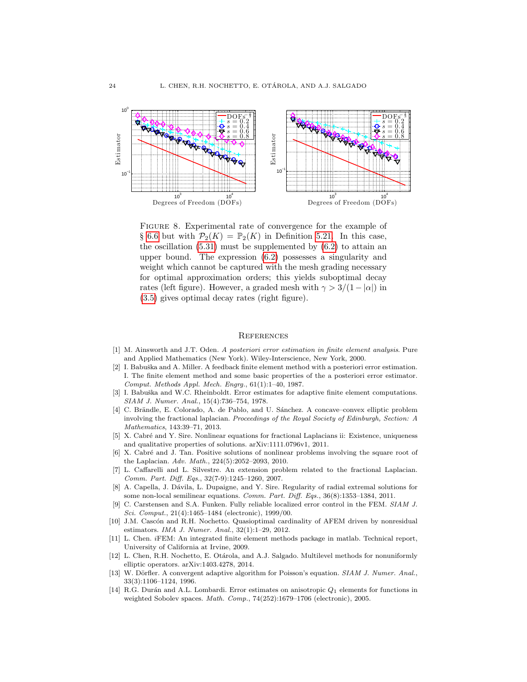

<span id="page-23-14"></span>FIGURE 8. Experimental rate of convergence for the example of § [6.6](#page-20-1) but with  $\mathcal{P}_2(K) = \mathbb{P}_2(K)$  in Definition [5.21.](#page-13-4) In this case, the oscillation  $(5.31)$  must be supplemented by  $(6.2)$  to attain an upper bound. The expression [\(6.2\)](#page-22-1) possesses a singularity and weight which cannot be captured with the mesh grading necessary for optimal approximation orders; this yields suboptimal decay rates (left figure). However, a graded mesh with  $\gamma > 3/(1 - |\alpha|)$  in [\(3.5\)](#page-6-1) gives optimal decay rates (right figure).

#### **REFERENCES**

- <span id="page-23-5"></span>[1] M. Ainsworth and J.T. Oden. A posteriori error estimation in finite element analysis. Pure and Applied Mathematics (New York). Wiley-Interscience, New York, 2000.
- <span id="page-23-6"></span>[2] I. Babuška and A. Miller. A feedback finite element method with a posteriori error estimation. I. The finite element method and some basic properties of the a posteriori error estimator. Comput. Methods Appl. Mech. Engrg., 61(1):1–40, 1987.
- <span id="page-23-4"></span>[3] I. Babuška and W.C. Rheinboldt. Error estimates for adaptive finite element computations. SIAM J. Numer. Anal., 15(4):736–754, 1978.
- <span id="page-23-2"></span>[4] C. Brändle, E. Colorado, A. de Pablo, and U. Sánchez. A concave–convex elliptic problem involving the fractional laplacian. Proceedings of the Royal Society of Edinburgh, Section: A Mathematics, 143:39–71, 2013.
- <span id="page-23-0"></span>[5] X. Cabré and Y. Sire. Nonlinear equations for fractional Laplacians ii: Existence, uniqueness and qualitative properties of solutions. arXiv:1111.0796v1, 2011.
- <span id="page-23-7"></span>[6] X. Cabré and J. Tan. Positive solutions of nonlinear problems involving the square root of the Laplacian. Adv. Math., 224(5):2052–2093, 2010.
- <span id="page-23-1"></span>[7] L. Caffarelli and L. Silvestre. An extension problem related to the fractional Laplacian. Comm. Part. Diff. Eqs., 32(7-9):1245–1260, 2007.
- <span id="page-23-3"></span>[8] A. Capella, J. Dávila, L. Dupaigne, and Y. Sire. Regularity of radial extremal solutions for some non-local semilinear equations. Comm. Part. Diff. Eqs., 36(8):1353–1384, 2011.
- <span id="page-23-11"></span>[9] C. Carstensen and S.A. Funken. Fully reliable localized error control in the FEM. SIAM J. Sci. Comput., 21(4):1465–1484 (electronic), 1999/00.
- <span id="page-23-9"></span>[10] J.M. Cascón and R.H. Nochetto. Quasioptimal cardinality of AFEM driven by nonresidual estimators. IMA J. Numer. Anal., 32(1):1–29, 2012.
- <span id="page-23-13"></span>[11] L. Chen. iFEM: An integrated finite element methods package in matlab. Technical report, University of California at Irvine, 2009.
- <span id="page-23-10"></span>[12] L. Chen, R.H. Nochetto, E. Otárola, and A.J. Salgado. Multilevel methods for nonuniformly elliptic operators. arXiv:1403.4278, 2014.
- <span id="page-23-12"></span>[13] W. Dörfler. A convergent adaptive algorithm for Poisson's equation. SIAM J. Numer. Anal., 33(3):1106–1124, 1996.
- <span id="page-23-8"></span>[14] R.G. Durán and A.L. Lombardi. Error estimates on anisotropic  $Q_1$  elements for functions in weighted Sobolev spaces. Math. Comp., 74(252):1679-1706 (electronic), 2005.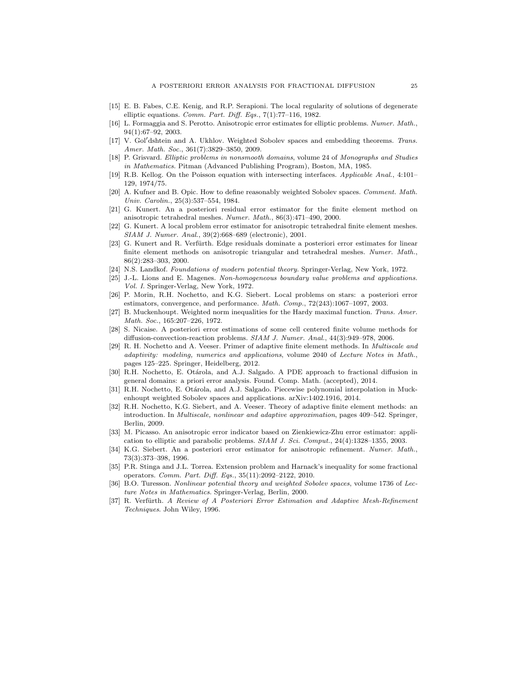- <span id="page-24-13"></span>[15] E. B. Fabes, C.E. Kenig, and R.P. Serapioni. The local regularity of solutions of degenerate elliptic equations. Comm. Part. Diff. Eqs., 7(1):77–116, 1982.
- <span id="page-24-10"></span>[16] L. Formaggia and S. Perotto. Anisotropic error estimates for elliptic problems. Numer. Math., 94(1):67–92, 2003.
- <span id="page-24-14"></span>V. Gol'dshtein and A. Ukhlov. Weighted Sobolev spaces and embedding theorems. Trans. Amer. Math. Soc., 361(7):3829–3850, 2009.
- <span id="page-24-18"></span>[18] P. Grisvard. Elliptic problems in nonsmooth domains, volume 24 of Monographs and Studies in Mathematics. Pitman (Advanced Publishing Program), Boston, MA, 1985.
- <span id="page-24-22"></span>[19] R.B. Kellog. On the Poisson equation with intersecting interfaces. Applicable Anal., 4:101– 129, 1974/75.
- <span id="page-24-17"></span>[20] A. Kufner and B. Opic. How to define reasonably weighted Sobolev spaces. Comment. Math. Univ. Carolin., 25(3):537–554, 1984.
- <span id="page-24-5"></span>[21] G. Kunert. An a posteriori residual error estimator for the finite element method on anisotropic tetrahedral meshes. Numer. Math., 86(3):471–490, 2000.
- <span id="page-24-7"></span>[22] G. Kunert. A local problem error estimator for anisotropic tetrahedral finite element meshes. SIAM J. Numer. Anal., 39(2):668–689 (electronic), 2001.
- <span id="page-24-6"></span>[23] G. Kunert and R. Verfürth. Edge residuals dominate a posteriori error estimates for linear finite element methods on anisotropic triangular and tetrahedral meshes. Numer. Math., 86(2):283–303, 2000.
- <span id="page-24-0"></span>[24] N.S. Landkof. Foundations of modern potential theory. Springer-Verlag, New York, 1972.
- <span id="page-24-12"></span>[25] J.-L. Lions and E. Magenes. Non-homogeneous boundary value problems and applications. Vol. I. Springer-Verlag, New York, 1972.
- <span id="page-24-11"></span>[26] P. Morin, R.H. Nochetto, and K.G. Siebert. Local problems on stars: a posteriori error estimators, convergence, and performance. Math. Comp., 72(243):1067-1097, 2003.
- <span id="page-24-15"></span>[27] B. Muckenhoupt. Weighted norm inequalities for the Hardy maximal function. Trans. Amer. Math. Soc., 165:207–226, 1972.
- <span id="page-24-8"></span>[28] S. Nicaise. A posteriori error estimations of some cell centered finite volume methods for diffusion-convection-reaction problems. SIAM J. Numer. Anal., 44(3):949–978, 2006.
- <span id="page-24-20"></span>[29] R. H. Nochetto and A. Veeser. Primer of adaptive finite element methods. In Multiscale and adaptivity: modeling, numerics and applications, volume 2040 of Lecture Notes in Math., pages 125–225. Springer, Heidelberg, 2012.
- <span id="page-24-2"></span>[30] R.H. Nochetto, E. Otárola, and A.J. Salgado. A PDE approach to fractional diffusion in general domains: a priori error analysis. Found. Comp. Math. (accepted), 2014.
- <span id="page-24-19"></span>[31] R.H. Nochetto, E. Otárola, and A.J. Salgado. Piecewise polynomial interpolation in Muckenhoupt weighted Sobolev spaces and applications. arXiv:1402.1916, 2014.
- <span id="page-24-21"></span>[32] R.H. Nochetto, K.G. Siebert, and A. Veeser. Theory of adaptive finite element methods: an introduction. In Multiscale, nonlinear and adaptive approximation, pages 409–542. Springer, Berlin, 2009.
- <span id="page-24-9"></span>[33] M. Picasso. An anisotropic error indicator based on Zienkiewicz-Zhu error estimator: application to elliptic and parabolic problems. SIAM J. Sci. Comput., 24(4):1328–1355, 2003.
- <span id="page-24-4"></span>[34] K.G. Siebert. An a posteriori error estimator for anisotropic refinement. Numer. Math., 73(3):373–398, 1996.
- <span id="page-24-1"></span>[35] P.R. Stinga and J.L. Torrea. Extension problem and Harnack's inequality for some fractional operators. Comm. Part. Diff. Eqs., 35(11):2092–2122, 2010.
- <span id="page-24-16"></span>[36] B.O. Turesson. Nonlinear potential theory and weighted Sobolev spaces, volume 1736 of Lecture Notes in Mathematics. Springer-Verlag, Berlin, 2000.
- <span id="page-24-3"></span>[37] R. Verfürth. A Review of A Posteriori Error Estimation and Adaptive Mesh-Refinement Techniques. John Wiley, 1996.